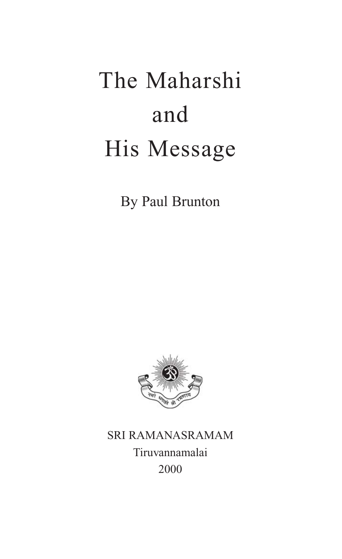# The Maharshi and His Message

By Paul Brunton



SRI RAMANASRAMAM Tiruvannamalai 2000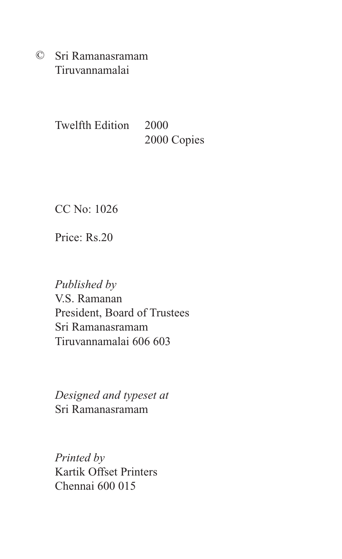© Sri Ramanasramam Tiruvannamalai

> Twelfth Edition 2000 2000 Copies

CC No: 1026

Price: Rs.20

*Published by* V.S. Ramanan President, Board of Trustees Sri Ramanasramam Tiruvannamalai 606 603

*Designed and typeset at* Sri Ramanasramam

*Printed by* Kartik Offset Printers Chennai 600 015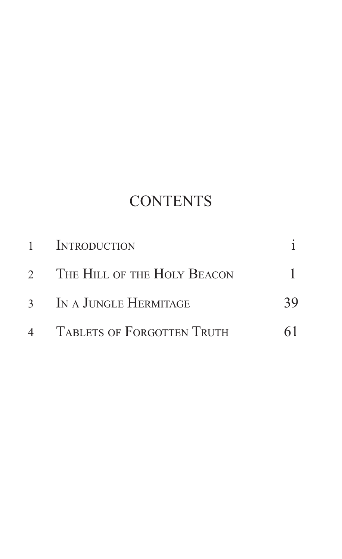### **CONTENTS**

|                | 1 INTRODUCTION                    |    |
|----------------|-----------------------------------|----|
|                | 2 THE HILL OF THE HOLY BEACON     |    |
| $\mathcal{R}$  | IN A JUNGLE HERMITAGE             | 39 |
| $\overline{4}$ | <b>TABLETS OF FORGOTTEN TRUTH</b> |    |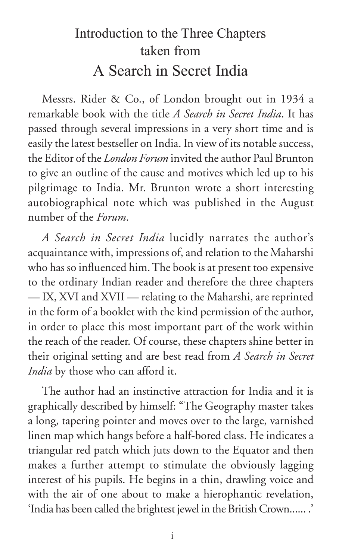#### Introduction to the Three Chapters taken from A Search in Secret India

Messrs. Rider & Co., of London brought out in 1934 a remarkable book with the title *A Search in Secret India*. It has passed through several impressions in a very short time and is easily the latest bestseller on India. In view of its notable success, the Editor of the *London Forum* invited the author Paul Brunton to give an outline of the cause and motives which led up to his pilgrimage to India. Mr. Brunton wrote a short interesting autobiographical note which was published in the August number of the *Forum*.

*A Search in Secret India* lucidly narrates the author's acquaintance with, impressions of, and relation to the Maharshi who has so influenced him. The book is at present too expensive to the ordinary Indian reader and therefore the three chapters — IX, XVI and XVII — relating to the Maharshi, are reprinted in the form of a booklet with the kind permission of the author, in order to place this most important part of the work within the reach of the reader. Of course, these chapters shine better in their original setting and are best read from *A Search in Secret India* by those who can afford it.

The author had an instinctive attraction for India and it is graphically described by himself: "The Geography master takes a long, tapering pointer and moves over to the large, varnished linen map which hangs before a half-bored class. He indicates a triangular red patch which juts down to the Equator and then makes a further attempt to stimulate the obviously lagging interest of his pupils. He begins in a thin, drawling voice and with the air of one about to make a hierophantic revelation, 'India has been called the brightest jewel in the British Crown...... .'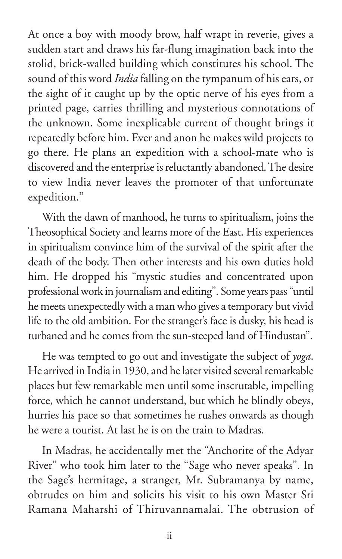At once a boy with moody brow, half wrapt in reverie, gives a sudden start and draws his far-flung imagination back into the stolid, brick-walled building which constitutes his school. The sound of this word *India* falling on the tympanum of his ears, or the sight of it caught up by the optic nerve of his eyes from a printed page, carries thrilling and mysterious connotations of the unknown. Some inexplicable current of thought brings it repeatedly before him. Ever and anon he makes wild projects to go there. He plans an expedition with a school-mate who is discovered and the enterprise is reluctantly abandoned. The desire to view India never leaves the promoter of that unfortunate expedition."

With the dawn of manhood, he turns to spiritualism, joins the Theosophical Society and learns more of the East. His experiences in spiritualism convince him of the survival of the spirit after the death of the body. Then other interests and his own duties hold him. He dropped his "mystic studies and concentrated upon professional work in journalism and editing". Some years pass "until he meets unexpectedly with a man who gives a temporary but vivid life to the old ambition. For the stranger's face is dusky, his head is turbaned and he comes from the sun-steeped land of Hindustan".

He was tempted to go out and investigate the subject of *yoga*. He arrived in India in 1930, and he later visited several remarkable places but few remarkable men until some inscrutable, impelling force, which he cannot understand, but which he blindly obeys, hurries his pace so that sometimes he rushes onwards as though he were a tourist. At last he is on the train to Madras.

In Madras, he accidentally met the "Anchorite of the Adyar River" who took him later to the "Sage who never speaks". In the Sage's hermitage, a stranger, Mr. Subramanya by name, obtrudes on him and solicits his visit to his own Master Sri Ramana Maharshi of Thiruvannamalai. The obtrusion of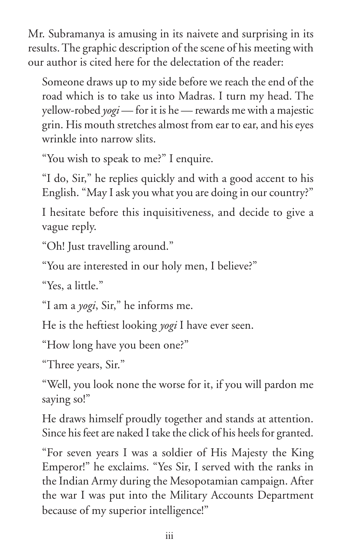Mr. Subramanya is amusing in its naivete and surprising in its results. The graphic description of the scene of his meeting with our author is cited here for the delectation of the reader:

Someone draws up to my side before we reach the end of the road which is to take us into Madras. I turn my head. The yellow-robed *yogi* — for it is he — rewards me with a majestic grin. His mouth stretches almost from ear to ear, and his eyes wrinkle into narrow slits.

"You wish to speak to me?" I enquire.

"I do, Sir," he replies quickly and with a good accent to his English. "May I ask you what you are doing in our country?"

I hesitate before this inquisitiveness, and decide to give a vague reply.

"Oh! Just travelling around."

"You are interested in our holy men, I believe?"

"Yes, a little."

"I am a *yogi*, Sir," he informs me.

He is the heftiest looking *yogi* I have ever seen.

"How long have you been one?"

"Three years, Sir."

"Well, you look none the worse for it, if you will pardon me saying so!"

He draws himself proudly together and stands at attention. Since his feet are naked I take the click of his heels for granted.

"For seven years I was a soldier of His Majesty the King Emperor!" he exclaims. "Yes Sir, I served with the ranks in the Indian Army during the Mesopotamian campaign. After the war I was put into the Military Accounts Department because of my superior intelligence!"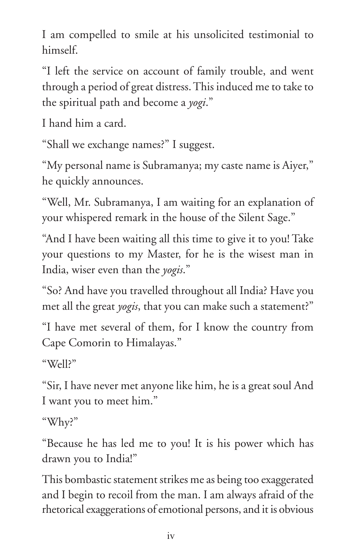I am compelled to smile at his unsolicited testimonial to himself.

"I left the service on account of family trouble, and went through a period of great distress. This induced me to take to the spiritual path and become a *yogi*."

I hand him a card.

"Shall we exchange names?" I suggest.

"My personal name is Subramanya; my caste name is Aiyer," he quickly announces.

"Well, Mr. Subramanya, I am waiting for an explanation of your whispered remark in the house of the Silent Sage."

"And I have been waiting all this time to give it to you! Take your questions to my Master, for he is the wisest man in India, wiser even than the *yogis*."

"So? And have you travelled throughout all India? Have you met all the great *yogis*, that you can make such a statement?"

"I have met several of them, for I know the country from Cape Comorin to Himalayas."

"Well?"

"Sir, I have never met anyone like him, he is a great soul And I want you to meet him."

"Why?"

"Because he has led me to you! It is his power which has drawn you to India!"

This bombastic statement strikes me as being too exaggerated and I begin to recoil from the man. I am always afraid of the rhetorical exaggerations of emotional persons, and it is obvious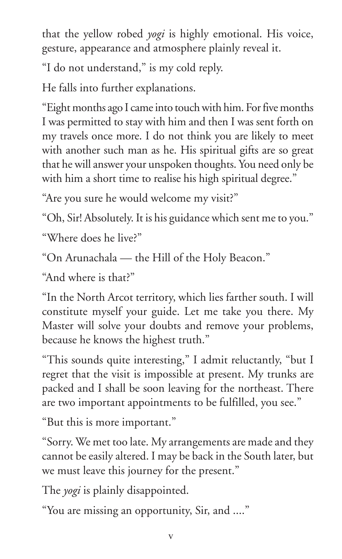that the yellow robed *yogi* is highly emotional. His voice, gesture, appearance and atmosphere plainly reveal it.

"I do not understand," is my cold reply.

He falls into further explanations.

"Eight months ago I came into touch with him. For five months I was permitted to stay with him and then I was sent forth on my travels once more. I do not think you are likely to meet with another such man as he. His spiritual gifts are so great that he will answer your unspoken thoughts. You need only be with him a short time to realise his high spiritual degree."

"Are you sure he would welcome my visit?"

"Oh, Sir! Absolutely. It is his guidance which sent me to you."

"Where does he live?"

"On Arunachala — the Hill of the Holy Beacon."

"And where is that?"

"In the North Arcot territory, which lies farther south. I will constitute myself your guide. Let me take you there. My Master will solve your doubts and remove your problems, because he knows the highest truth."

"This sounds quite interesting," I admit reluctantly, "but I regret that the visit is impossible at present. My trunks are packed and I shall be soon leaving for the northeast. There are two important appointments to be fulfilled, you see."

"But this is more important."

"Sorry. We met too late. My arrangements are made and they cannot be easily altered. I may be back in the South later, but we must leave this journey for the present."

The *yogi* is plainly disappointed.

"You are missing an opportunity, Sir, and ...."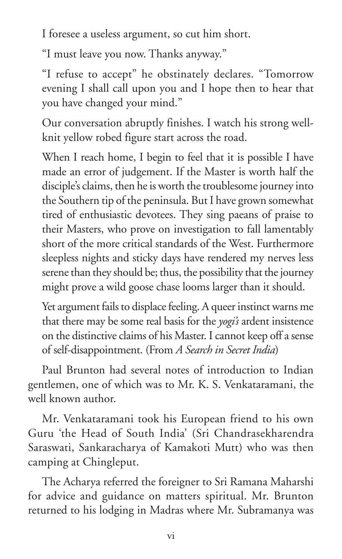I foresee a useless argument, so cut him short.

"I must leave you now. Thanks anyway."

"I refuse to accept" he obstinately declares. "Tomorrow evening I shall call upon you and I hope then to hear that you have changed your mind."

Our conversation abruptly finishes. I watch his strong wellknit yellow robed figure start across the road.

When I reach home, I begin to feel that it is possible I have made an error of judgement. If the Master is worth half the disciple's claims, then he is worth the troublesome journey into the Southern tip of the peninsula. But I have grown somewhat tired of enthusiastic devotees. They sing paeans of praise to their Masters, who prove on investigation to fall lamentably short of the more critical standards of the West. Furthermore sleepless nights and sticky days have rendered my nerves less serene than they should be; thus, the possibility that the journey might prove a wild goose chase looms larger than it should.

Yet argument fails to displace feeling. A queer instinct warns me that there may be some real basis for the *yogi's* ardent insistence on the distinctive claims of his Master. I cannot keep off a sense of self-disappointment. (From *A Search in Secret India*)

Paul Brunton had several notes of introduction to Indian gentlemen, one of which was to Mr. K. S. Venkataramani, the well known author.

Mr. Venkataramani took his European friend to his own Guru 'the Head of South India' (Sri Chandrasekharendra Saraswati, Sankaracharya of Kamakoti Mutt) who was then camping at Chingleput.

The Acharya referred the foreigner to Sri Ramana Maharshi for advice and guidance on matters spiritual. Mr. Brunton returned to his lodging in Madras where Mr. Subramanya was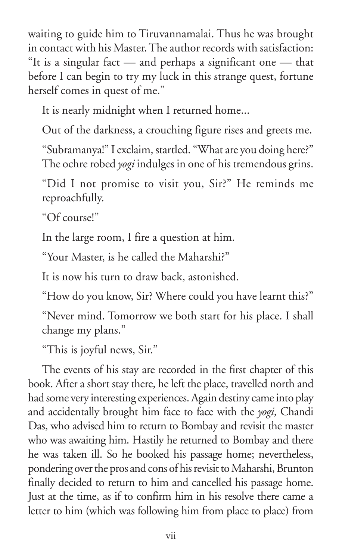waiting to guide him to Tiruvannamalai. Thus he was brought in contact with his Master. The author records with satisfaction: "It is a singular fact — and perhaps a significant one — that before I can begin to try my luck in this strange quest, fortune herself comes in quest of me."

It is nearly midnight when I returned home...

Out of the darkness, a crouching figure rises and greets me.

"Subramanya!" I exclaim, startled. "What are you doing here?" The ochre robed *yogi* indulges in one of his tremendous grins.

"Did I not promise to visit you, Sir?" He reminds me reproachfully.

"Of course!"

In the large room, I fire a question at him.

"Your Master, is he called the Maharshi?"

It is now his turn to draw back, astonished.

"How do you know, Sir? Where could you have learnt this?"

"Never mind. Tomorrow we both start for his place. I shall change my plans."

"This is joyful news, Sir."

The events of his stay are recorded in the first chapter of this book. After a short stay there, he left the place, travelled north and had some very interesting experiences. Again destiny came into play and accidentally brought him face to face with the *yogi*, Chandi Das, who advised him to return to Bombay and revisit the master who was awaiting him. Hastily he returned to Bombay and there he was taken ill. So he booked his passage home; nevertheless, pondering over the pros and cons of his revisit to Maharshi, Brunton finally decided to return to him and cancelled his passage home. Just at the time, as if to confirm him in his resolve there came a letter to him (which was following him from place to place) from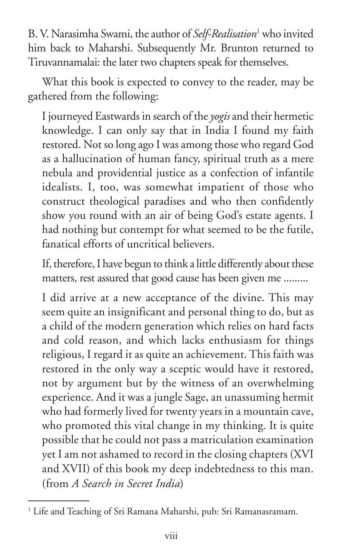B. V. Narasimha Swami, the author of *Self-Realisation*<sup>1</sup> who invited him back to Maharshi. Subsequently Mr. Brunton returned to Tiruvannamalai: the later two chapters speak for themselves.

What this book is expected to convey to the reader, may be gathered from the following:

I journeyed Eastwards in search of the *yogis* and their hermetic knowledge. I can only say that in India I found my faith restored. Not so long ago I was among those who regard God as a hallucination of human fancy, spiritual truth as a mere nebula and providential justice as a confection of infantile idealists. I, too, was somewhat impatient of those who construct theological paradises and who then confidently show you round with an air of being God's estate agents. I had nothing but contempt for what seemed to be the futile, fanatical efforts of uncritical believers.

If, therefore, I have begun to think a little differently about these matters, rest assured that good cause has been given me .........

I did arrive at a new acceptance of the divine. This may seem quite an insignificant and personal thing to do, but as a child of the modern generation which relies on hard facts and cold reason, and which lacks enthusiasm for things religious, I regard it as quite an achievement. This faith was restored in the only way a sceptic would have it restored, not by argument but by the witness of an overwhelming experience. And it was a jungle Sage, an unassuming hermit who had formerly lived for twenty years in a mountain cave, who promoted this vital change in my thinking. It is quite possible that he could not pass a matriculation examination yet I am not ashamed to record in the closing chapters (XVI and XVII) of this book my deep indebtedness to this man. (from *A Search in Secret India*)

<sup>&</sup>lt;sup>1</sup> Life and Teaching of Sri Ramana Maharshi, pub: Sri Ramanasramam.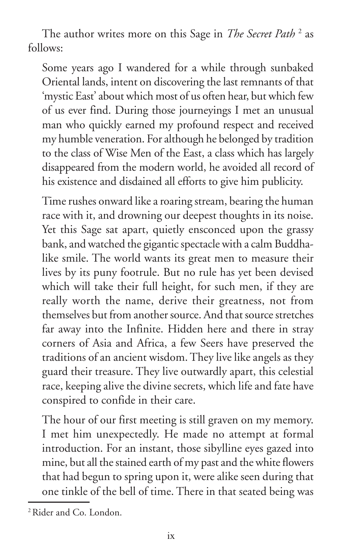The author writes more on this Sage in *The Secret Path* <sup>2</sup> as follows:

Some years ago I wandered for a while through sunbaked Oriental lands, intent on discovering the last remnants of that 'mystic East' about which most of us often hear, but which few of us ever find. During those journeyings I met an unusual man who quickly earned my profound respect and received my humble veneration. For although he belonged by tradition to the class of Wise Men of the East, a class which has largely disappeared from the modern world, he avoided all record of his existence and disdained all efforts to give him publicity.

Time rushes onward like a roaring stream, bearing the human race with it, and drowning our deepest thoughts in its noise. Yet this Sage sat apart, quietly ensconced upon the grassy bank, and watched the gigantic spectacle with a calm Buddhalike smile. The world wants its great men to measure their lives by its puny footrule. But no rule has yet been devised which will take their full height, for such men, if they are really worth the name, derive their greatness, not from themselves but from another source. And that source stretches far away into the Infinite. Hidden here and there in stray corners of Asia and Africa, a few Seers have preserved the traditions of an ancient wisdom. They live like angels as they guard their treasure. They live outwardly apart, this celestial race, keeping alive the divine secrets, which life and fate have conspired to confide in their care.

The hour of our first meeting is still graven on my memory. I met him unexpectedly. He made no attempt at formal introduction. For an instant, those sibylline eyes gazed into mine, but all the stained earth of my past and the white flowers that had begun to spring upon it, were alike seen during that one tinkle of the bell of time. There in that seated being was

<sup>2</sup> Rider and Co. London.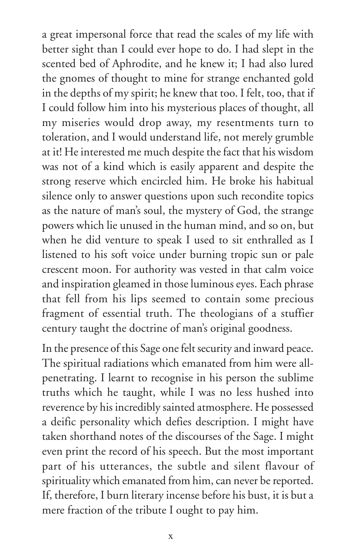a great impersonal force that read the scales of my life with better sight than I could ever hope to do. I had slept in the scented bed of Aphrodite, and he knew it; I had also lured the gnomes of thought to mine for strange enchanted gold in the depths of my spirit; he knew that too. I felt, too, that if I could follow him into his mysterious places of thought, all my miseries would drop away, my resentments turn to toleration, and I would understand life, not merely grumble at it! He interested me much despite the fact that his wisdom was not of a kind which is easily apparent and despite the strong reserve which encircled him. He broke his habitual silence only to answer questions upon such recondite topics as the nature of man's soul, the mystery of God, the strange powers which lie unused in the human mind, and so on, but when he did venture to speak I used to sit enthralled as I listened to his soft voice under burning tropic sun or pale crescent moon. For authority was vested in that calm voice and inspiration gleamed in those luminous eyes. Each phrase that fell from his lips seemed to contain some precious fragment of essential truth. The theologians of a stuffier century taught the doctrine of man's original goodness.

In the presence of this Sage one felt security and inward peace. The spiritual radiations which emanated from him were allpenetrating. I learnt to recognise in his person the sublime truths which he taught, while I was no less hushed into reverence by his incredibly sainted atmosphere. He possessed a deific personality which defies description. I might have taken shorthand notes of the discourses of the Sage. I might even print the record of his speech. But the most important part of his utterances, the subtle and silent flavour of spirituality which emanated from him, can never be reported. If, therefore, I burn literary incense before his bust, it is but a mere fraction of the tribute I ought to pay him.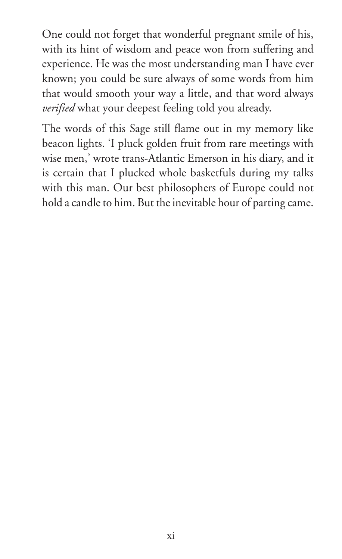One could not forget that wonderful pregnant smile of his, with its hint of wisdom and peace won from suffering and experience. He was the most understanding man I have ever known; you could be sure always of some words from him that would smooth your way a little, and that word always *verified* what your deepest feeling told you already.

The words of this Sage still flame out in my memory like beacon lights. 'I pluck golden fruit from rare meetings with wise men,' wrote trans-Atlantic Emerson in his diary, and it is certain that I plucked whole basketfuls during my talks with this man. Our best philosophers of Europe could not hold a candle to him. But the inevitable hour of parting came.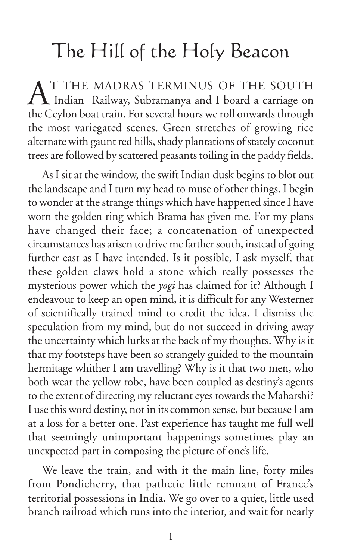## <span id="page-14-0"></span>The Hill of the Holy Beacon

**AT THE MADRAS TERMINUS OF THE SOUTH**<br>Indian Railway, Subramanya and I board a carriage on<br>the Ceylon boat train. For example hours we rell opwords through the Ceylon boat train. For several hours we roll onwards through the most variegated scenes. Green stretches of growing rice alternate with gaunt red hills, shady plantations of stately coconut trees are followed by scattered peasants toiling in the paddy fields.

As I sit at the window, the swift Indian dusk begins to blot out the landscape and I turn my head to muse of other things. I begin to wonder at the strange things which have happened since I have worn the golden ring which Brama has given me. For my plans have changed their face; a concatenation of unexpected circumstances has arisen to drive me farther south, instead of going further east as I have intended. Is it possible, I ask myself, that these golden claws hold a stone which really possesses the mysterious power which the *yogi* has claimed for it? Although I endeavour to keep an open mind, it is difficult for any Westerner of scientifically trained mind to credit the idea. I dismiss the speculation from my mind, but do not succeed in driving away the uncertainty which lurks at the back of my thoughts. Why is it that my footsteps have been so strangely guided to the mountain hermitage whither I am travelling? Why is it that two men, who both wear the yellow robe, have been coupled as destiny's agents to the extent of directing my reluctant eyes towards the Maharshi? I use this word destiny, not in its common sense, but because I am at a loss for a better one. Past experience has taught me full well that seemingly unimportant happenings sometimes play an unexpected part in composing the picture of one's life.

We leave the train, and with it the main line, forty miles from Pondicherry, that pathetic little remnant of France's territorial possessions in India. We go over to a quiet, little used branch railroad which runs into the interior, and wait for nearly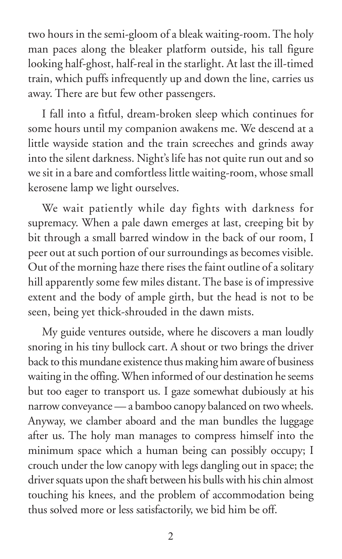two hours in the semi-gloom of a bleak waiting-room. The holy man paces along the bleaker platform outside, his tall figure looking half-ghost, half-real in the starlight. At last the ill-timed train, which puffs infrequently up and down the line, carries us away. There are but few other passengers.

I fall into a fitful, dream-broken sleep which continues for some hours until my companion awakens me. We descend at a little wayside station and the train screeches and grinds away into the silent darkness. Night's life has not quite run out and so we sit in a bare and comfortless little waiting-room, whose small kerosene lamp we light ourselves.

We wait patiently while day fights with darkness for supremacy. When a pale dawn emerges at last, creeping bit by bit through a small barred window in the back of our room, I peer out at such portion of our surroundings as becomes visible. Out of the morning haze there rises the faint outline of a solitary hill apparently some few miles distant. The base is of impressive extent and the body of ample girth, but the head is not to be seen, being yet thick-shrouded in the dawn mists.

My guide ventures outside, where he discovers a man loudly snoring in his tiny bullock cart. A shout or two brings the driver back to this mundane existence thus making him aware of business waiting in the offing. When informed of our destination he seems but too eager to transport us. I gaze somewhat dubiously at his narrow conveyance — a bamboo canopy balanced on two wheels. Anyway, we clamber aboard and the man bundles the luggage after us. The holy man manages to compress himself into the minimum space which a human being can possibly occupy; I crouch under the low canopy with legs dangling out in space; the driver squats upon the shaft between his bulls with his chin almost touching his knees, and the problem of accommodation being thus solved more or less satisfactorily, we bid him be off.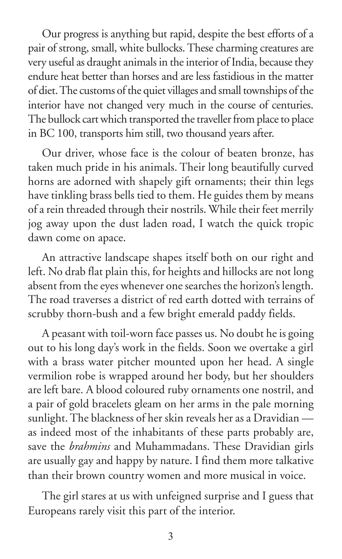Our progress is anything but rapid, despite the best efforts of a pair of strong, small, white bullocks. These charming creatures are very useful as draught animals in the interior of India, because they endure heat better than horses and are less fastidious in the matter of diet. The customs of the quiet villages and small townships of the interior have not changed very much in the course of centuries. The bullock cart which transported the traveller from place to place in BC 100, transports him still, two thousand years after.

Our driver, whose face is the colour of beaten bronze, has taken much pride in his animals. Their long beautifully curved horns are adorned with shapely gift ornaments; their thin legs have tinkling brass bells tied to them. He guides them by means of a rein threaded through their nostrils. While their feet merrily jog away upon the dust laden road, I watch the quick tropic dawn come on apace.

An attractive landscape shapes itself both on our right and left. No drab flat plain this, for heights and hillocks are not long absent from the eyes whenever one searches the horizon's length. The road traverses a district of red earth dotted with terrains of scrubby thorn-bush and a few bright emerald paddy fields.

A peasant with toil-worn face passes us. No doubt he is going out to his long day's work in the fields. Soon we overtake a girl with a brass water pitcher mounted upon her head. A single vermilion robe is wrapped around her body, but her shoulders are left bare. A blood coloured ruby ornaments one nostril, and a pair of gold bracelets gleam on her arms in the pale morning sunlight. The blackness of her skin reveals her as a Dravidian as indeed most of the inhabitants of these parts probably are, save the *brahmins* and Muhammadans. These Dravidian girls are usually gay and happy by nature. I find them more talkative than their brown country women and more musical in voice.

The girl stares at us with unfeigned surprise and I guess that Europeans rarely visit this part of the interior.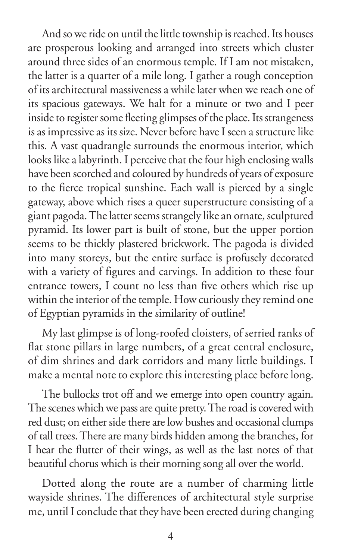And so we ride on until the little township is reached. Its houses are prosperous looking and arranged into streets which cluster around three sides of an enormous temple. If I am not mistaken, the latter is a quarter of a mile long. I gather a rough conception of its architectural massiveness a while later when we reach one of its spacious gateways. We halt for a minute or two and I peer inside to register some fleeting glimpses of the place. Its strangeness is as impressive as its size. Never before have I seen a structure like this. A vast quadrangle surrounds the enormous interior, which looks like a labyrinth. I perceive that the four high enclosing walls have been scorched and coloured by hundreds of years of exposure to the fierce tropical sunshine. Each wall is pierced by a single gateway, above which rises a queer superstructure consisting of a giant pagoda. The latter seems strangely like an ornate, sculptured pyramid. Its lower part is built of stone, but the upper portion seems to be thickly plastered brickwork. The pagoda is divided into many storeys, but the entire surface is profusely decorated with a variety of figures and carvings. In addition to these four entrance towers, I count no less than five others which rise up within the interior of the temple. How curiously they remind one of Egyptian pyramids in the similarity of outline!

My last glimpse is of long-roofed cloisters, of serried ranks of flat stone pillars in large numbers, of a great central enclosure, of dim shrines and dark corridors and many little buildings. I make a mental note to explore this interesting place before long.

The bullocks trot off and we emerge into open country again. The scenes which we pass are quite pretty. The road is covered with red dust; on either side there are low bushes and occasional clumps of tall trees. There are many birds hidden among the branches, for I hear the flutter of their wings, as well as the last notes of that beautiful chorus which is their morning song all over the world.

Dotted along the route are a number of charming little wayside shrines. The differences of architectural style surprise me, until I conclude that they have been erected during changing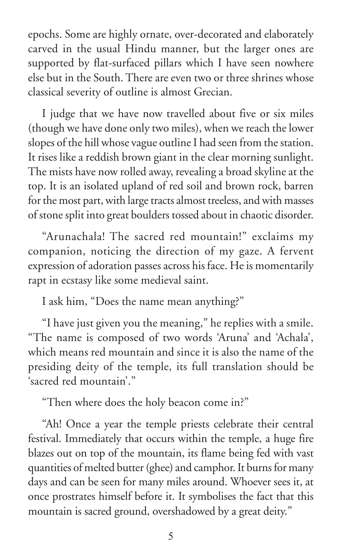epochs. Some are highly ornate, over-decorated and elaborately carved in the usual Hindu manner, but the larger ones are supported by flat-surfaced pillars which I have seen nowhere else but in the South. There are even two or three shrines whose classical severity of outline is almost Grecian.

I judge that we have now travelled about five or six miles (though we have done only two miles), when we reach the lower slopes of the hill whose vague outline I had seen from the station. It rises like a reddish brown giant in the clear morning sunlight. The mists have now rolled away, revealing a broad skyline at the top. It is an isolated upland of red soil and brown rock, barren for the most part, with large tracts almost treeless, and with masses of stone split into great boulders tossed about in chaotic disorder.

"Arunachala! The sacred red mountain!" exclaims my companion, noticing the direction of my gaze. A fervent expression of adoration passes across his face. He is momentarily rapt in ecstasy like some medieval saint.

I ask him, "Does the name mean anything?"

"I have just given you the meaning," he replies with a smile. "The name is composed of two words 'Aruna' and 'Achala', which means red mountain and since it is also the name of the presiding deity of the temple, its full translation should be 'sacred red mountain'."

"Then where does the holy beacon come in?"

"Ah! Once a year the temple priests celebrate their central festival. Immediately that occurs within the temple, a huge fire blazes out on top of the mountain, its flame being fed with vast quantities of melted butter (ghee) and camphor. It burns for many days and can be seen for many miles around. Whoever sees it, at once prostrates himself before it. It symbolises the fact that this mountain is sacred ground, overshadowed by a great deity."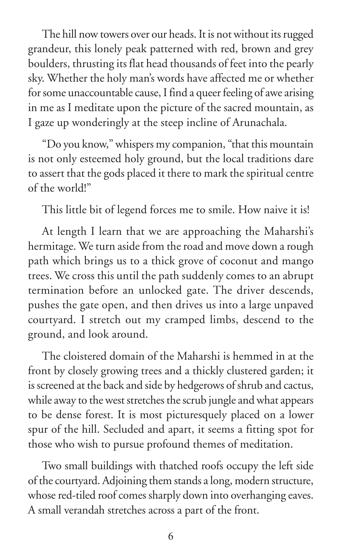The hill now towers over our heads. It is not without its rugged grandeur, this lonely peak patterned with red, brown and grey boulders, thrusting its flat head thousands of feet into the pearly sky. Whether the holy man's words have affected me or whether for some unaccountable cause, I find a queer feeling of awe arising in me as I meditate upon the picture of the sacred mountain, as I gaze up wonderingly at the steep incline of Arunachala.

"Do you know," whispers my companion, "that this mountain is not only esteemed holy ground, but the local traditions dare to assert that the gods placed it there to mark the spiritual centre of the world!"

This little bit of legend forces me to smile. How naive it is!

At length I learn that we are approaching the Maharshi's hermitage. We turn aside from the road and move down a rough path which brings us to a thick grove of coconut and mango trees. We cross this until the path suddenly comes to an abrupt termination before an unlocked gate. The driver descends, pushes the gate open, and then drives us into a large unpaved courtyard. I stretch out my cramped limbs, descend to the ground, and look around.

The cloistered domain of the Maharshi is hemmed in at the front by closely growing trees and a thickly clustered garden; it is screened at the back and side by hedgerows of shrub and cactus, while away to the west stretches the scrub jungle and what appears to be dense forest. It is most picturesquely placed on a lower spur of the hill. Secluded and apart, it seems a fitting spot for those who wish to pursue profound themes of meditation.

Two small buildings with thatched roofs occupy the left side of the courtyard. Adjoining them stands a long, modern structure, whose red-tiled roof comes sharply down into overhanging eaves. A small verandah stretches across a part of the front.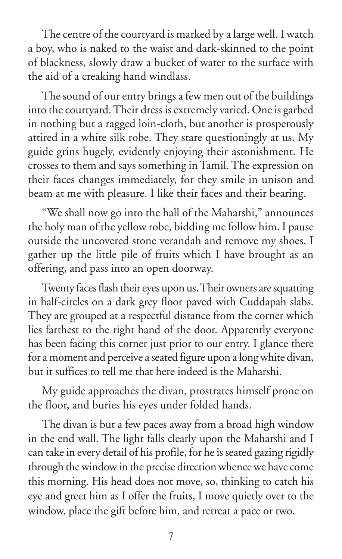The centre of the courtyard is marked by a large well. I watch a boy, who is naked to the waist and dark-skinned to the point of blackness, slowly draw a bucket of water to the surface with the aid of a creaking hand windlass.

The sound of our entry brings a few men out of the buildings into the courtyard. Their dress is extremely varied. One is garbed in nothing but a ragged loin-cloth, but another is prosperously attired in a white silk robe. They stare questioningly at us. My guide grins hugely, evidently enjoying their astonishment. He crosses to them and says something in Tamil. The expression on their faces changes immediately, for they smile in unison and beam at me with pleasure. I like their faces and their bearing.

"We shall now go into the hall of the Maharshi," announces the holy man of the yellow robe, bidding me follow him. I pause outside the uncovered stone verandah and remove my shoes. I gather up the little pile of fruits which I have brought as an offering, and pass into an open doorway.

Twenty faces flash their eyes upon us. Their owners are squatting in half-circles on a dark grey floor paved with Cuddapah slabs. They are grouped at a respectful distance from the corner which lies farthest to the right hand of the door. Apparently everyone has been facing this corner just prior to our entry. I glance there for a moment and perceive a seated figure upon a long white divan, but it suffices to tell me that here indeed is the Maharshi.

My guide approaches the divan, prostrates himself prone on the floor, and buries his eyes under folded hands.

The divan is but a few paces away from a broad high window in the end wall. The light falls clearly upon the Maharshi and I can take in every detail of his profile, for he is seated gazing rigidly through the window in the precise direction whence we have come this morning. His head does not move, so, thinking to catch his eye and greet him as I offer the fruits, I move quietly over to the window, place the gift before him, and retreat a pace or two.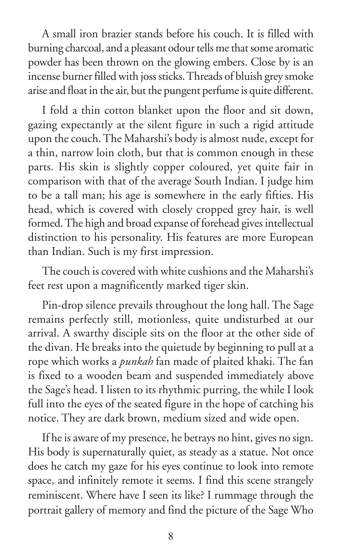A small iron brazier stands before his couch. It is filled with burning charcoal, and a pleasant odour tells me that some aromatic powder has been thrown on the glowing embers. Close by is an incense burner filled with joss sticks. Threads of bluish grey smoke arise and float in the air, but the pungent perfume is quite different.

I fold a thin cotton blanket upon the floor and sit down, gazing expectantly at the silent figure in such a rigid attitude upon the couch. The Maharshi's body is almost nude, except for a thin, narrow loin cloth, but that is common enough in these parts. His skin is slightly copper coloured, yet quite fair in comparison with that of the average South Indian. I judge him to be a tall man; his age is somewhere in the early fifties. His head, which is covered with closely cropped grey hair, is well formed. The high and broad expanse of forehead gives intellectual distinction to his personality. His features are more European than Indian. Such is my first impression.

The couch is covered with white cushions and the Maharshi's feet rest upon a magnificently marked tiger skin.

Pin-drop silence prevails throughout the long hall. The Sage remains perfectly still, motionless, quite undisturbed at our arrival. A swarthy disciple sits on the floor at the other side of the divan. He breaks into the quietude by beginning to pull at a rope which works a *punkah* fan made of plaited khaki. The fan is fixed to a wooden beam and suspended immediately above the Sage's head. I listen to its rhythmic purring, the while I look full into the eyes of the seated figure in the hope of catching his notice. They are dark brown, medium sized and wide open.

If he is aware of my presence, he betrays no hint, gives no sign. His body is supernaturally quiet, as steady as a statue. Not once does he catch my gaze for his eyes continue to look into remote space, and infinitely remote it seems. I find this scene strangely reminiscent. Where have I seen its like? I rummage through the portrait gallery of memory and find the picture of the Sage Who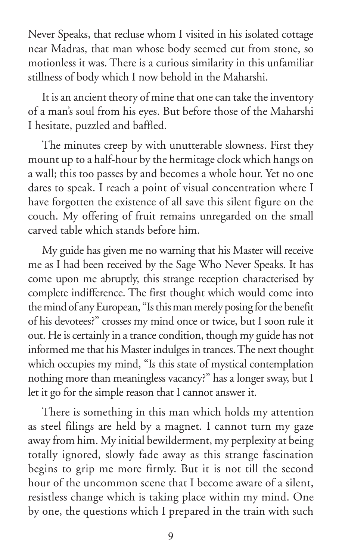Never Speaks, that recluse whom I visited in his isolated cottage near Madras, that man whose body seemed cut from stone, so motionless it was. There is a curious similarity in this unfamiliar stillness of body which I now behold in the Maharshi.

It is an ancient theory of mine that one can take the inventory of a man's soul from his eyes. But before those of the Maharshi I hesitate, puzzled and baffled.

The minutes creep by with unutterable slowness. First they mount up to a half-hour by the hermitage clock which hangs on a wall; this too passes by and becomes a whole hour. Yet no one dares to speak. I reach a point of visual concentration where I have forgotten the existence of all save this silent figure on the couch. My offering of fruit remains unregarded on the small carved table which stands before him.

My guide has given me no warning that his Master will receive me as I had been received by the Sage Who Never Speaks. It has come upon me abruptly, this strange reception characterised by complete indifference. The first thought which would come into the mind of any European, "Is this man merely posing for the benefit of his devotees?" crosses my mind once or twice, but I soon rule it out. He is certainly in a trance condition, though my guide has not informed me that his Master indulges in trances. The next thought which occupies my mind, "Is this state of mystical contemplation nothing more than meaningless vacancy?" has a longer sway, but I let it go for the simple reason that I cannot answer it.

There is something in this man which holds my attention as steel filings are held by a magnet. I cannot turn my gaze away from him. My initial bewilderment, my perplexity at being totally ignored, slowly fade away as this strange fascination begins to grip me more firmly. But it is not till the second hour of the uncommon scene that I become aware of a silent, resistless change which is taking place within my mind. One by one, the questions which I prepared in the train with such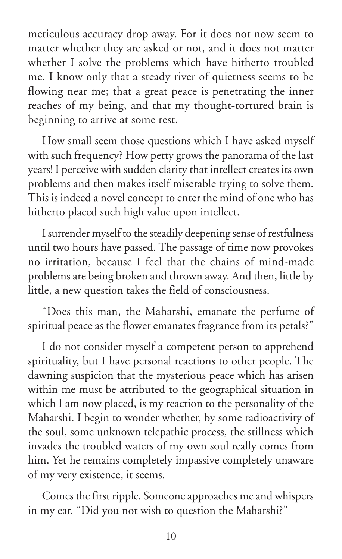meticulous accuracy drop away. For it does not now seem to matter whether they are asked or not, and it does not matter whether I solve the problems which have hitherto troubled me. I know only that a steady river of quietness seems to be flowing near me; that a great peace is penetrating the inner reaches of my being, and that my thought-tortured brain is beginning to arrive at some rest.

How small seem those questions which I have asked myself with such frequency? How petty grows the panorama of the last years! I perceive with sudden clarity that intellect creates its own problems and then makes itself miserable trying to solve them. This is indeed a novel concept to enter the mind of one who has hitherto placed such high value upon intellect.

I surrender myself to the steadily deepening sense of restfulness until two hours have passed. The passage of time now provokes no irritation, because I feel that the chains of mind-made problems are being broken and thrown away. And then, little by little, a new question takes the field of consciousness.

"Does this man, the Maharshi, emanate the perfume of spiritual peace as the flower emanates fragrance from its petals?"

I do not consider myself a competent person to apprehend spirituality, but I have personal reactions to other people. The dawning suspicion that the mysterious peace which has arisen within me must be attributed to the geographical situation in which I am now placed, is my reaction to the personality of the Maharshi. I begin to wonder whether, by some radioactivity of the soul, some unknown telepathic process, the stillness which invades the troubled waters of my own soul really comes from him. Yet he remains completely impassive completely unaware of my very existence, it seems.

Comes the first ripple. Someone approaches me and whispers in my ear. "Did you not wish to question the Maharshi?"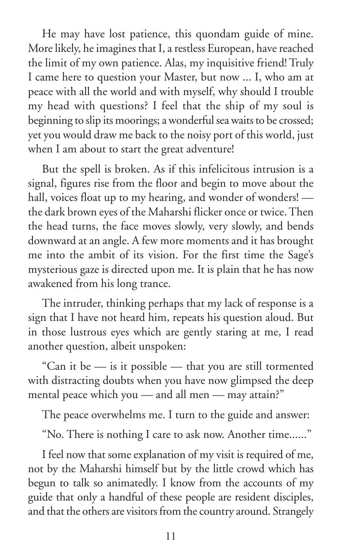He may have lost patience, this quondam guide of mine. More likely, he imagines that I, a restless European, have reached the limit of my own patience. Alas, my inquisitive friend! Truly I came here to question your Master, but now ... I, who am at peace with all the world and with myself, why should I trouble my head with questions? I feel that the ship of my soul is beginning to slip its moorings; a wonderful sea waits to be crossed; yet you would draw me back to the noisy port of this world, just when I am about to start the great adventure!

But the spell is broken. As if this infelicitous intrusion is a signal, figures rise from the floor and begin to move about the hall, voices float up to my hearing, and wonder of wonders! the dark brown eyes of the Maharshi flicker once or twice. Then the head turns, the face moves slowly, very slowly, and bends downward at an angle. A few more moments and it has brought me into the ambit of its vision. For the first time the Sage's mysterious gaze is directed upon me. It is plain that he has now awakened from his long trance.

The intruder, thinking perhaps that my lack of response is a sign that I have not heard him, repeats his question aloud. But in those lustrous eyes which are gently staring at me, I read another question, albeit unspoken:

"Can it be — is it possible — that you are still tormented with distracting doubts when you have now glimpsed the deep mental peace which you — and all men — may attain?"

The peace overwhelms me. I turn to the guide and answer:

"No. There is nothing I care to ask now. Another time......"

I feel now that some explanation of my visit is required of me, not by the Maharshi himself but by the little crowd which has begun to talk so animatedly. I know from the accounts of my guide that only a handful of these people are resident disciples, and that the others are visitors from the country around. Strangely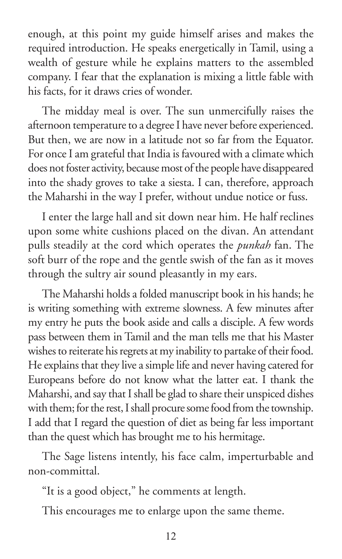enough, at this point my guide himself arises and makes the required introduction. He speaks energetically in Tamil, using a wealth of gesture while he explains matters to the assembled company. I fear that the explanation is mixing a little fable with his facts, for it draws cries of wonder.

The midday meal is over. The sun unmercifully raises the afternoon temperature to a degree I have never before experienced. But then, we are now in a latitude not so far from the Equator. For once I am grateful that India is favoured with a climate which does not foster activity, because most of the people have disappeared into the shady groves to take a siesta. I can, therefore, approach the Maharshi in the way I prefer, without undue notice or fuss.

I enter the large hall and sit down near him. He half reclines upon some white cushions placed on the divan. An attendant pulls steadily at the cord which operates the *punkah* fan. The soft burr of the rope and the gentle swish of the fan as it moves through the sultry air sound pleasantly in my ears.

The Maharshi holds a folded manuscript book in his hands; he is writing something with extreme slowness. A few minutes after my entry he puts the book aside and calls a disciple. A few words pass between them in Tamil and the man tells me that his Master wishes to reiterate his regrets at my inability to partake of their food. He explains that they live a simple life and never having catered for Europeans before do not know what the latter eat. I thank the Maharshi, and say that I shall be glad to share their unspiced dishes with them; for the rest, I shall procure some food from the township. I add that I regard the question of diet as being far less important than the quest which has brought me to his hermitage.

The Sage listens intently, his face calm, imperturbable and non-committal.

"It is a good object," he comments at length.

This encourages me to enlarge upon the same theme.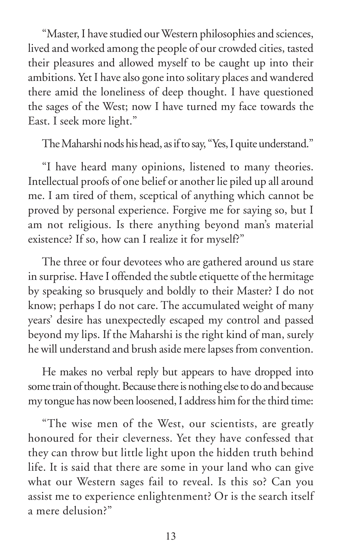"Master, I have studied our Western philosophies and sciences, lived and worked among the people of our crowded cities, tasted their pleasures and allowed myself to be caught up into their ambitions. Yet I have also gone into solitary places and wandered there amid the loneliness of deep thought. I have questioned the sages of the West; now I have turned my face towards the East. I seek more light."

The Maharshi nods his head, as if to say, "Yes, I quite understand."

"I have heard many opinions, listened to many theories. Intellectual proofs of one belief or another lie piled up all around me. I am tired of them, sceptical of anything which cannot be proved by personal experience. Forgive me for saying so, but I am not religious. Is there anything beyond man's material existence? If so, how can I realize it for myself?"

The three or four devotees who are gathered around us stare in surprise. Have I offended the subtle etiquette of the hermitage by speaking so brusquely and boldly to their Master? I do not know; perhaps I do not care. The accumulated weight of many years' desire has unexpectedly escaped my control and passed beyond my lips. If the Maharshi is the right kind of man, surely he will understand and brush aside mere lapses from convention.

He makes no verbal reply but appears to have dropped into some train of thought. Because there is nothing else to do and because my tongue has now been loosened, I address him for the third time:

"The wise men of the West, our scientists, are greatly honoured for their cleverness. Yet they have confessed that they can throw but little light upon the hidden truth behind life. It is said that there are some in your land who can give what our Western sages fail to reveal. Is this so? Can you assist me to experience enlightenment? Or is the search itself a mere delusion?"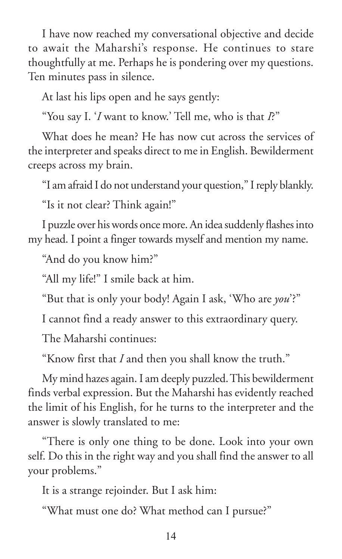I have now reached my conversational objective and decide to await the Maharshi's response. He continues to stare thoughtfully at me. Perhaps he is pondering over my questions. Ten minutes pass in silence.

At last his lips open and he says gently:

"You say I. '*I* want to know.' Tell me, who is that *I*?"

What does he mean? He has now cut across the services of the interpreter and speaks direct to me in English. Bewilderment creeps across my brain.

"I am afraid I do not understand your question," I reply blankly.

"Is it not clear? Think again!"

I puzzle over his words once more. An idea suddenly flashes into my head. I point a finger towards myself and mention my name.

"And do you know him?"

"All my life!" I smile back at him.

"But that is only your body! Again I ask, 'Who are *you*'?"

I cannot find a ready answer to this extraordinary query.

The Maharshi continues:

"Know first that *I* and then you shall know the truth."

My mind hazes again. I am deeply puzzled. This bewilderment finds verbal expression. But the Maharshi has evidently reached the limit of his English, for he turns to the interpreter and the answer is slowly translated to me:

"There is only one thing to be done. Look into your own self. Do this in the right way and you shall find the answer to all your problems."

It is a strange rejoinder. But I ask him:

"What must one do? What method can I pursue?"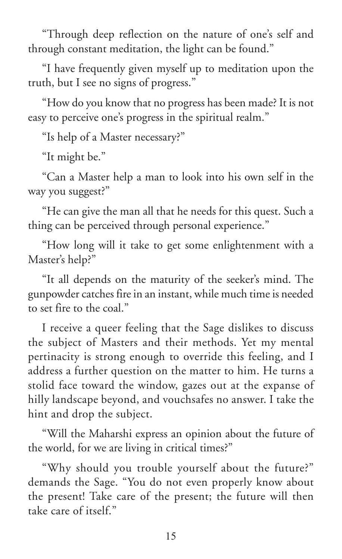"Through deep reflection on the nature of one's self and through constant meditation, the light can be found."

"I have frequently given myself up to meditation upon the truth, but I see no signs of progress."

"How do you know that no progress has been made? It is not easy to perceive one's progress in the spiritual realm."

"Is help of a Master necessary?"

"It might be."

"Can a Master help a man to look into his own self in the way you suggest?"

"He can give the man all that he needs for this quest. Such a thing can be perceived through personal experience."

"How long will it take to get some enlightenment with a Master's help?"

"It all depends on the maturity of the seeker's mind. The gunpowder catches fire in an instant, while much time is needed to set fire to the coal."

I receive a queer feeling that the Sage dislikes to discuss the subject of Masters and their methods. Yet my mental pertinacity is strong enough to override this feeling, and I address a further question on the matter to him. He turns a stolid face toward the window, gazes out at the expanse of hilly landscape beyond, and vouchsafes no answer. I take the hint and drop the subject.

"Will the Maharshi express an opinion about the future of the world, for we are living in critical times?"

"Why should you trouble yourself about the future?" demands the Sage. "You do not even properly know about the present! Take care of the present; the future will then take care of itself."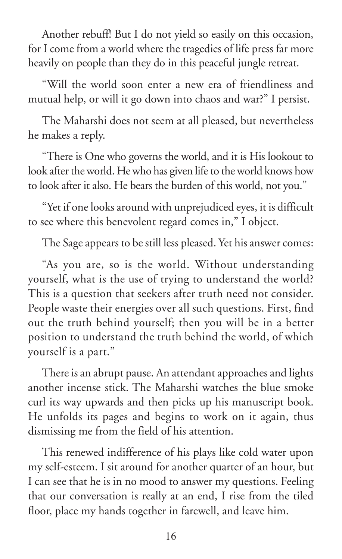Another rebuff! But I do not yield so easily on this occasion, for I come from a world where the tragedies of life press far more heavily on people than they do in this peaceful jungle retreat.

"Will the world soon enter a new era of friendliness and mutual help, or will it go down into chaos and war?" I persist.

The Maharshi does not seem at all pleased, but nevertheless he makes a reply.

"There is One who governs the world, and it is His lookout to look after the world. He who has given life to the world knows how to look after it also. He bears the burden of this world, not you."

"Yet if one looks around with unprejudiced eyes, it is difficult to see where this benevolent regard comes in," I object.

The Sage appears to be still less pleased. Yet his answer comes:

"As you are, so is the world. Without understanding yourself, what is the use of trying to understand the world? This is a question that seekers after truth need not consider. People waste their energies over all such questions. First, find out the truth behind yourself; then you will be in a better position to understand the truth behind the world, of which yourself is a part."

There is an abrupt pause. An attendant approaches and lights another incense stick. The Maharshi watches the blue smoke curl its way upwards and then picks up his manuscript book. He unfolds its pages and begins to work on it again, thus dismissing me from the field of his attention.

This renewed indifference of his plays like cold water upon my self-esteem. I sit around for another quarter of an hour, but I can see that he is in no mood to answer my questions. Feeling that our conversation is really at an end, I rise from the tiled floor, place my hands together in farewell, and leave him.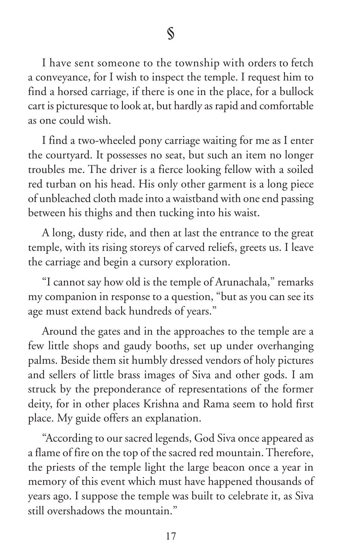I have sent someone to the township with orders to fetch a conveyance, for I wish to inspect the temple. I request him to find a horsed carriage, if there is one in the place, for a bullock cart is picturesque to look at, but hardly as rapid and comfortable as one could wish.

I find a two-wheeled pony carriage waiting for me as I enter the courtyard. It possesses no seat, but such an item no longer troubles me. The driver is a fierce looking fellow with a soiled red turban on his head. His only other garment is a long piece of unbleached cloth made into a waistband with one end passing between his thighs and then tucking into his waist.

A long, dusty ride, and then at last the entrance to the great temple, with its rising storeys of carved reliefs, greets us. I leave the carriage and begin a cursory exploration.

"I cannot say how old is the temple of Arunachala," remarks my companion in response to a question, "but as you can see its age must extend back hundreds of years."

Around the gates and in the approaches to the temple are a few little shops and gaudy booths, set up under overhanging palms. Beside them sit humbly dressed vendors of holy pictures and sellers of little brass images of Siva and other gods. I am struck by the preponderance of representations of the former deity, for in other places Krishna and Rama seem to hold first place. My guide offers an explanation.

"According to our sacred legends, God Siva once appeared as a flame of fire on the top of the sacred red mountain. Therefore, the priests of the temple light the large beacon once a year in memory of this event which must have happened thousands of years ago. I suppose the temple was built to celebrate it, as Siva still overshadows the mountain."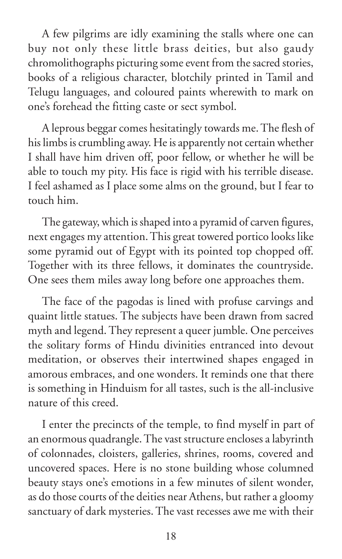A few pilgrims are idly examining the stalls where one can buy not only these little brass deities, but also gaudy chromolithographs picturing some event from the sacred stories, books of a religious character, blotchily printed in Tamil and Telugu languages, and coloured paints wherewith to mark on one's forehead the fitting caste or sect symbol.

A leprous beggar comes hesitatingly towards me. The flesh of his limbs is crumbling away. He is apparently not certain whether I shall have him driven off, poor fellow, or whether he will be able to touch my pity. His face is rigid with his terrible disease. I feel ashamed as I place some alms on the ground, but I fear to touch him.

The gateway, which is shaped into a pyramid of carven figures, next engages my attention. This great towered portico looks like some pyramid out of Egypt with its pointed top chopped off. Together with its three fellows, it dominates the countryside. One sees them miles away long before one approaches them.

The face of the pagodas is lined with profuse carvings and quaint little statues. The subjects have been drawn from sacred myth and legend. They represent a queer jumble. One perceives the solitary forms of Hindu divinities entranced into devout meditation, or observes their intertwined shapes engaged in amorous embraces, and one wonders. It reminds one that there is something in Hinduism for all tastes, such is the all-inclusive nature of this creed.

I enter the precincts of the temple, to find myself in part of an enormous quadrangle. The vast structure encloses a labyrinth of colonnades, cloisters, galleries, shrines, rooms, covered and uncovered spaces. Here is no stone building whose columned beauty stays one's emotions in a few minutes of silent wonder, as do those courts of the deities near Athens, but rather a gloomy sanctuary of dark mysteries. The vast recesses awe me with their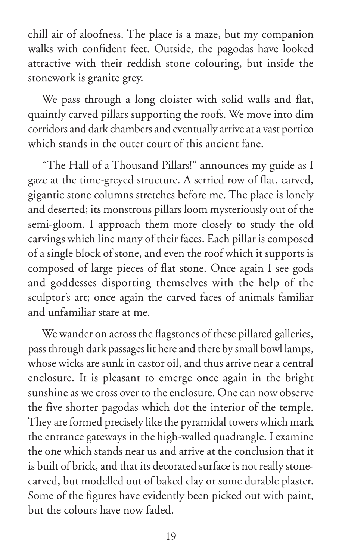chill air of aloofness. The place is a maze, but my companion walks with confident feet. Outside, the pagodas have looked attractive with their reddish stone colouring, but inside the stonework is granite grey.

We pass through a long cloister with solid walls and flat, quaintly carved pillars supporting the roofs. We move into dim corridors and dark chambers and eventually arrive at a vast portico which stands in the outer court of this ancient fane.

"The Hall of a Thousand Pillars!" announces my guide as I gaze at the time-greyed structure. A serried row of flat, carved, gigantic stone columns stretches before me. The place is lonely and deserted; its monstrous pillars loom mysteriously out of the semi-gloom. I approach them more closely to study the old carvings which line many of their faces. Each pillar is composed of a single block of stone, and even the roof which it supports is composed of large pieces of flat stone. Once again I see gods and goddesses disporting themselves with the help of the sculptor's art; once again the carved faces of animals familiar and unfamiliar stare at me.

We wander on across the flagstones of these pillared galleries, pass through dark passages lit here and there by small bowl lamps, whose wicks are sunk in castor oil, and thus arrive near a central enclosure. It is pleasant to emerge once again in the bright sunshine as we cross over to the enclosure. One can now observe the five shorter pagodas which dot the interior of the temple. They are formed precisely like the pyramidal towers which mark the entrance gateways in the high-walled quadrangle. I examine the one which stands near us and arrive at the conclusion that it is built of brick, and that its decorated surface is not really stonecarved, but modelled out of baked clay or some durable plaster. Some of the figures have evidently been picked out with paint, but the colours have now faded.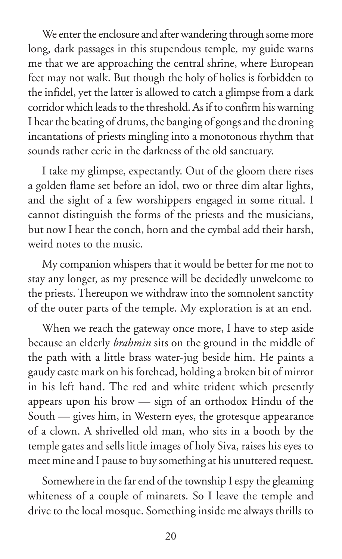We enter the enclosure and after wandering through some more long, dark passages in this stupendous temple, my guide warns me that we are approaching the central shrine, where European feet may not walk. But though the holy of holies is forbidden to the infidel, yet the latter is allowed to catch a glimpse from a dark corridor which leads to the threshold. As if to confirm his warning I hear the beating of drums, the banging of gongs and the droning incantations of priests mingling into a monotonous rhythm that sounds rather eerie in the darkness of the old sanctuary.

I take my glimpse, expectantly. Out of the gloom there rises a golden flame set before an idol, two or three dim altar lights, and the sight of a few worshippers engaged in some ritual. I cannot distinguish the forms of the priests and the musicians, but now I hear the conch, horn and the cymbal add their harsh, weird notes to the music.

My companion whispers that it would be better for me not to stay any longer, as my presence will be decidedly unwelcome to the priests. Thereupon we withdraw into the somnolent sanctity of the outer parts of the temple. My exploration is at an end.

When we reach the gateway once more, I have to step aside because an elderly *brahmin* sits on the ground in the middle of the path with a little brass water-jug beside him. He paints a gaudy caste mark on his forehead, holding a broken bit of mirror in his left hand. The red and white trident which presently appears upon his brow — sign of an orthodox Hindu of the South — gives him, in Western eyes, the grotesque appearance of a clown. A shrivelled old man, who sits in a booth by the temple gates and sells little images of holy Siva, raises his eyes to meet mine and I pause to buy something at his unuttered request.

Somewhere in the far end of the township I espy the gleaming whiteness of a couple of minarets. So I leave the temple and drive to the local mosque. Something inside me always thrills to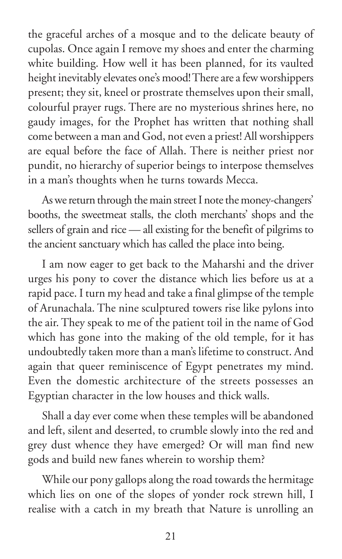the graceful arches of a mosque and to the delicate beauty of cupolas. Once again I remove my shoes and enter the charming white building. How well it has been planned, for its vaulted height inevitably elevates one's mood! There are a few worshippers present; they sit, kneel or prostrate themselves upon their small, colourful prayer rugs. There are no mysterious shrines here, no gaudy images, for the Prophet has written that nothing shall come between a man and God, not even a priest! All worshippers are equal before the face of Allah. There is neither priest nor pundit, no hierarchy of superior beings to interpose themselves in a man's thoughts when he turns towards Mecca.

As we return through the main street I note the money-changers' booths, the sweetmeat stalls, the cloth merchants' shops and the sellers of grain and rice — all existing for the benefit of pilgrims to the ancient sanctuary which has called the place into being.

I am now eager to get back to the Maharshi and the driver urges his pony to cover the distance which lies before us at a rapid pace. I turn my head and take a final glimpse of the temple of Arunachala. The nine sculptured towers rise like pylons into the air. They speak to me of the patient toil in the name of God which has gone into the making of the old temple, for it has undoubtedly taken more than a man's lifetime to construct. And again that queer reminiscence of Egypt penetrates my mind. Even the domestic architecture of the streets possesses an Egyptian character in the low houses and thick walls.

Shall a day ever come when these temples will be abandoned and left, silent and deserted, to crumble slowly into the red and grey dust whence they have emerged? Or will man find new gods and build new fanes wherein to worship them?

While our pony gallops along the road towards the hermitage which lies on one of the slopes of yonder rock strewn hill, I realise with a catch in my breath that Nature is unrolling an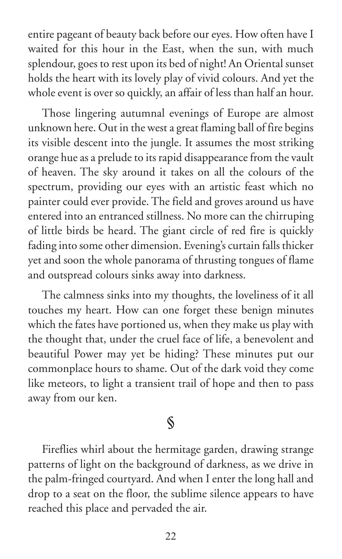entire pageant of beauty back before our eyes. How often have I waited for this hour in the East, when the sun, with much splendour, goes to rest upon its bed of night! An Oriental sunset holds the heart with its lovely play of vivid colours. And yet the whole event is over so quickly, an affair of less than half an hour.

Those lingering autumnal evenings of Europe are almost unknown here. Out in the west a great flaming ball of fire begins its visible descent into the jungle. It assumes the most striking orange hue as a prelude to its rapid disappearance from the vault of heaven. The sky around it takes on all the colours of the spectrum, providing our eyes with an artistic feast which no painter could ever provide. The field and groves around us have entered into an entranced stillness. No more can the chirruping of little birds be heard. The giant circle of red fire is quickly fading into some other dimension. Evening's curtain falls thicker yet and soon the whole panorama of thrusting tongues of flame and outspread colours sinks away into darkness.

The calmness sinks into my thoughts, the loveliness of it all touches my heart. How can one forget these benign minutes which the fates have portioned us, when they make us play with the thought that, under the cruel face of life, a benevolent and beautiful Power may yet be hiding? These minutes put our commonplace hours to shame. Out of the dark void they come like meteors, to light a transient trail of hope and then to pass away from our ken.

#### **§**

Fireflies whirl about the hermitage garden, drawing strange patterns of light on the background of darkness, as we drive in the palm-fringed courtyard. And when I enter the long hall and drop to a seat on the floor, the sublime silence appears to have reached this place and pervaded the air.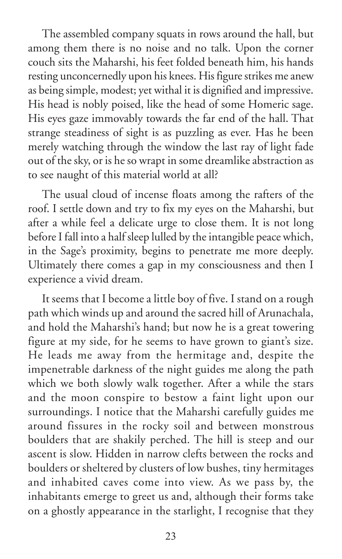The assembled company squats in rows around the hall, but among them there is no noise and no talk. Upon the corner couch sits the Maharshi, his feet folded beneath him, his hands resting unconcernedly upon his knees. His figure strikes me anew as being simple, modest; yet withal it is dignified and impressive. His head is nobly poised, like the head of some Homeric sage. His eyes gaze immovably towards the far end of the hall. That strange steadiness of sight is as puzzling as ever. Has he been merely watching through the window the last ray of light fade out of the sky, or is he so wrapt in some dreamlike abstraction as to see naught of this material world at all?

The usual cloud of incense floats among the rafters of the roof. I settle down and try to fix my eyes on the Maharshi, but after a while feel a delicate urge to close them. It is not long before I fall into a half sleep lulled by the intangible peace which, in the Sage's proximity, begins to penetrate me more deeply. Ultimately there comes a gap in my consciousness and then I experience a vivid dream.

It seems that I become a little boy of five. I stand on a rough path which winds up and around the sacred hill of Arunachala, and hold the Maharshi's hand; but now he is a great towering figure at my side, for he seems to have grown to giant's size. He leads me away from the hermitage and, despite the impenetrable darkness of the night guides me along the path which we both slowly walk together. After a while the stars and the moon conspire to bestow a faint light upon our surroundings. I notice that the Maharshi carefully guides me around fissures in the rocky soil and between monstrous boulders that are shakily perched. The hill is steep and our ascent is slow. Hidden in narrow clefts between the rocks and boulders or sheltered by clusters of low bushes, tiny hermitages and inhabited caves come into view. As we pass by, the inhabitants emerge to greet us and, although their forms take on a ghostly appearance in the starlight, I recognise that they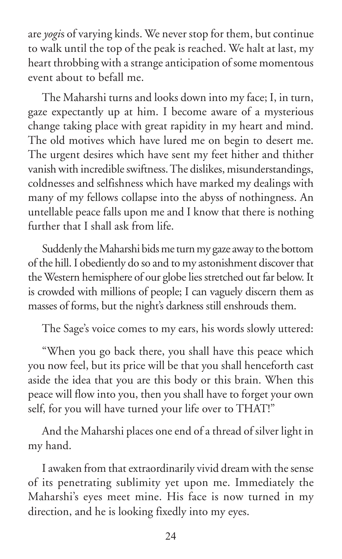are *yogi*s of varying kinds. We never stop for them, but continue to walk until the top of the peak is reached. We halt at last, my heart throbbing with a strange anticipation of some momentous event about to befall me.

The Maharshi turns and looks down into my face; I, in turn, gaze expectantly up at him. I become aware of a mysterious change taking place with great rapidity in my heart and mind. The old motives which have lured me on begin to desert me. The urgent desires which have sent my feet hither and thither vanish with incredible swiftness. The dislikes, misunderstandings, coldnesses and selfishness which have marked my dealings with many of my fellows collapse into the abyss of nothingness. An untellable peace falls upon me and I know that there is nothing further that I shall ask from life.

Suddenly the Maharshi bids me turn my gaze away to the bottom of the hill. I obediently do so and to my astonishment discover that the Western hemisphere of our globe lies stretched out far below. It is crowded with millions of people; I can vaguely discern them as masses of forms, but the night's darkness still enshrouds them.

The Sage's voice comes to my ears, his words slowly uttered:

"When you go back there, you shall have this peace which you now feel, but its price will be that you shall henceforth cast aside the idea that you are this body or this brain. When this peace will flow into you, then you shall have to forget your own self, for you will have turned your life over to THAT!"

And the Maharshi places one end of a thread of silver light in my hand.

I awaken from that extraordinarily vivid dream with the sense of its penetrating sublimity yet upon me. Immediately the Maharshi's eyes meet mine. His face is now turned in my direction, and he is looking fixedly into my eyes.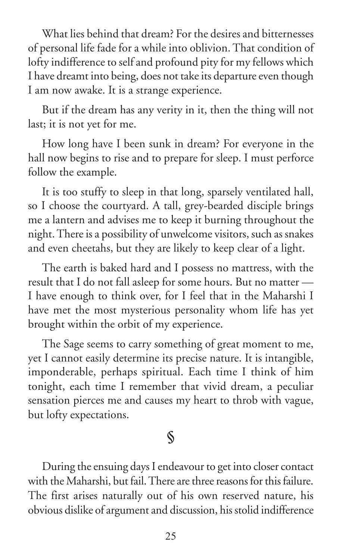What lies behind that dream? For the desires and bitternesses of personal life fade for a while into oblivion. That condition of lofty indifference to self and profound pity for my fellows which I have dreamt into being, does not take its departure even though I am now awake. It is a strange experience.

But if the dream has any verity in it, then the thing will not last; it is not yet for me.

How long have I been sunk in dream? For everyone in the hall now begins to rise and to prepare for sleep. I must perforce follow the example.

It is too stuffy to sleep in that long, sparsely ventilated hall, so I choose the courtyard. A tall, grey-bearded disciple brings me a lantern and advises me to keep it burning throughout the night. There is a possibility of unwelcome visitors, such as snakes and even cheetahs, but they are likely to keep clear of a light.

The earth is baked hard and I possess no mattress, with the result that I do not fall asleep for some hours. But no matter — I have enough to think over, for I feel that in the Maharshi I have met the most mysterious personality whom life has yet brought within the orbit of my experience.

The Sage seems to carry something of great moment to me, yet I cannot easily determine its precise nature. It is intangible, imponderable, perhaps spiritual. Each time I think of him tonight, each time I remember that vivid dream, a peculiar sensation pierces me and causes my heart to throb with vague, but lofty expectations.

#### **§**

During the ensuing days I endeavour to get into closer contact with the Maharshi, but fail. There are three reasons for this failure. The first arises naturally out of his own reserved nature, his obvious dislike of argument and discussion, his stolid indifference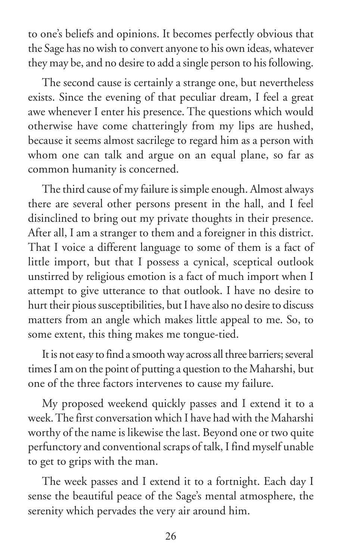to one's beliefs and opinions. It becomes perfectly obvious that the Sage has no wish to convert anyone to his own ideas, whatever they may be, and no desire to add a single person to his following.

The second cause is certainly a strange one, but nevertheless exists. Since the evening of that peculiar dream, I feel a great awe whenever I enter his presence. The questions which would otherwise have come chatteringly from my lips are hushed, because it seems almost sacrilege to regard him as a person with whom one can talk and argue on an equal plane, so far as common humanity is concerned.

The third cause of my failure is simple enough. Almost always there are several other persons present in the hall, and I feel disinclined to bring out my private thoughts in their presence. After all, I am a stranger to them and a foreigner in this district. That I voice a different language to some of them is a fact of little import, but that I possess a cynical, sceptical outlook unstirred by religious emotion is a fact of much import when I attempt to give utterance to that outlook. I have no desire to hurt their pious susceptibilities, but I have also no desire to discuss matters from an angle which makes little appeal to me. So, to some extent, this thing makes me tongue-tied.

It is not easy to find a smooth way across all three barriers; several times I am on the point of putting a question to the Maharshi, but one of the three factors intervenes to cause my failure.

My proposed weekend quickly passes and I extend it to a week. The first conversation which I have had with the Maharshi worthy of the name is likewise the last. Beyond one or two quite perfunctory and conventional scraps of talk, I find myself unable to get to grips with the man.

The week passes and I extend it to a fortnight. Each day I sense the beautiful peace of the Sage's mental atmosphere, the serenity which pervades the very air around him.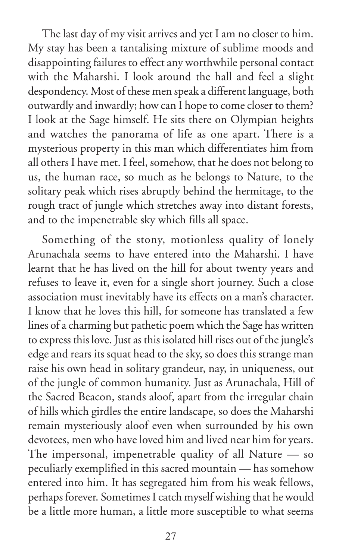The last day of my visit arrives and yet I am no closer to him. My stay has been a tantalising mixture of sublime moods and disappointing failures to effect any worthwhile personal contact with the Maharshi. I look around the hall and feel a slight despondency. Most of these men speak a different language, both outwardly and inwardly; how can I hope to come closer to them? I look at the Sage himself. He sits there on Olympian heights and watches the panorama of life as one apart. There is a mysterious property in this man which differentiates him from all others I have met. I feel, somehow, that he does not belong to us, the human race, so much as he belongs to Nature, to the solitary peak which rises abruptly behind the hermitage, to the rough tract of jungle which stretches away into distant forests, and to the impenetrable sky which fills all space.

Something of the stony, motionless quality of lonely Arunachala seems to have entered into the Maharshi. I have learnt that he has lived on the hill for about twenty years and refuses to leave it, even for a single short journey. Such a close association must inevitably have its effects on a man's character. I know that he loves this hill, for someone has translated a few lines of a charming but pathetic poem which the Sage has written to express this love. Just as this isolated hill rises out of the jungle's edge and rears its squat head to the sky, so does this strange man raise his own head in solitary grandeur, nay, in uniqueness, out of the jungle of common humanity. Just as Arunachala, Hill of the Sacred Beacon, stands aloof, apart from the irregular chain of hills which girdles the entire landscape, so does the Maharshi remain mysteriously aloof even when surrounded by his own devotees, men who have loved him and lived near him for years. The impersonal, impenetrable quality of all Nature — so peculiarly exemplified in this sacred mountain — has somehow entered into him. It has segregated him from his weak fellows, perhaps forever. Sometimes I catch myself wishing that he would be a little more human, a little more susceptible to what seems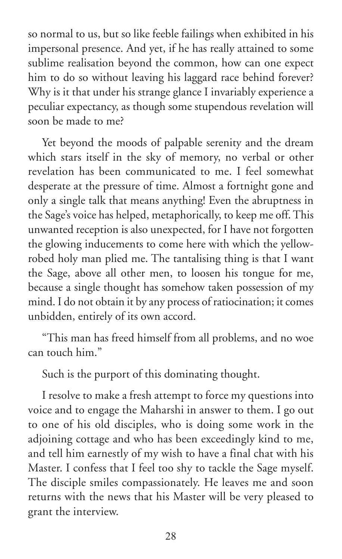so normal to us, but so like feeble failings when exhibited in his impersonal presence. And yet, if he has really attained to some sublime realisation beyond the common, how can one expect him to do so without leaving his laggard race behind forever? Why is it that under his strange glance I invariably experience a peculiar expectancy, as though some stupendous revelation will soon be made to me?

Yet beyond the moods of palpable serenity and the dream which stars itself in the sky of memory, no verbal or other revelation has been communicated to me. I feel somewhat desperate at the pressure of time. Almost a fortnight gone and only a single talk that means anything! Even the abruptness in the Sage's voice has helped, metaphorically, to keep me off. This unwanted reception is also unexpected, for I have not forgotten the glowing inducements to come here with which the yellowrobed holy man plied me. The tantalising thing is that I want the Sage, above all other men, to loosen his tongue for me, because a single thought has somehow taken possession of my mind. I do not obtain it by any process of ratiocination; it comes unbidden, entirely of its own accord.

"This man has freed himself from all problems, and no woe can touch him."

Such is the purport of this dominating thought.

I resolve to make a fresh attempt to force my questions into voice and to engage the Maharshi in answer to them. I go out to one of his old disciples, who is doing some work in the adjoining cottage and who has been exceedingly kind to me, and tell him earnestly of my wish to have a final chat with his Master. I confess that I feel too shy to tackle the Sage myself. The disciple smiles compassionately. He leaves me and soon returns with the news that his Master will be very pleased to grant the interview.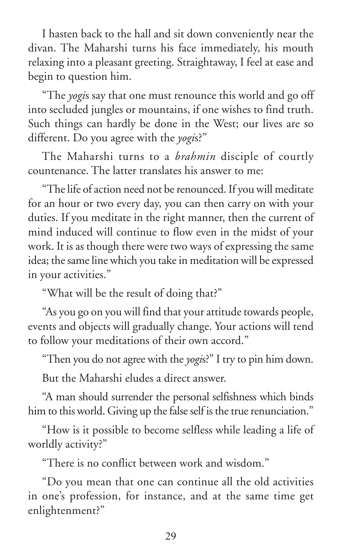I hasten back to the hall and sit down conveniently near the divan. The Maharshi turns his face immediately, his mouth relaxing into a pleasant greeting. Straightaway, I feel at ease and begin to question him.

"The *yogi*s say that one must renounce this world and go off into secluded jungles or mountains, if one wishes to find truth. Such things can hardly be done in the West; our lives are so different. Do you agree with the *yogi*s?"

The Maharshi turns to a *brahmin* disciple of courtly countenance. The latter translates his answer to me:

"The life of action need not be renounced. If you will meditate for an hour or two every day, you can then carry on with your duties. If you meditate in the right manner, then the current of mind induced will continue to flow even in the midst of your work. It is as though there were two ways of expressing the same idea; the same line which you take in meditation will be expressed in your activities."

"What will be the result of doing that?"

"As you go on you will find that your attitude towards people, events and objects will gradually change. Your actions will tend to follow your meditations of their own accord."

"Then you do not agree with the *yogi*s?" I try to pin him down.

But the Maharshi eludes a direct answer.

"A man should surrender the personal selfishness which binds him to this world. Giving up the false self is the true renunciation."

"How is it possible to become selfless while leading a life of worldly activity?"

"There is no conflict between work and wisdom."

"Do you mean that one can continue all the old activities in one's profession, for instance, and at the same time get enlightenment?"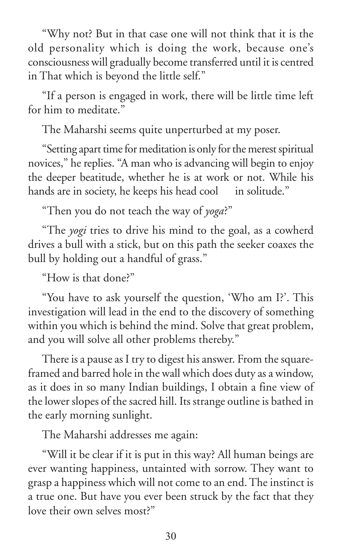"Why not? But in that case one will not think that it is the old personality which is doing the work, because one's consciousness will gradually become transferred until it is centred in That which is beyond the little self."

"If a person is engaged in work, there will be little time left for him to meditate."

The Maharshi seems quite unperturbed at my poser.

"Setting apart time for meditation is only for the merest spiritual novices," he replies. "A man who is advancing will begin to enjoy the deeper beatitude, whether he is at work or not. While his hands are in society, he keeps his head cool in solitude."

"Then you do not teach the way of *yoga*?"

"The *yogi* tries to drive his mind to the goal, as a cowherd drives a bull with a stick, but on this path the seeker coaxes the bull by holding out a handful of grass."

"How is that done?"

"You have to ask yourself the question, 'Who am I?'. This investigation will lead in the end to the discovery of something within you which is behind the mind. Solve that great problem, and you will solve all other problems thereby."

There is a pause as I try to digest his answer. From the squareframed and barred hole in the wall which does duty as a window, as it does in so many Indian buildings, I obtain a fine view of the lower slopes of the sacred hill. Its strange outline is bathed in the early morning sunlight.

The Maharshi addresses me again:

"Will it be clear if it is put in this way? All human beings are ever wanting happiness, untainted with sorrow. They want to grasp a happiness which will not come to an end. The instinct is a true one. But have you ever been struck by the fact that they love their own selves most?"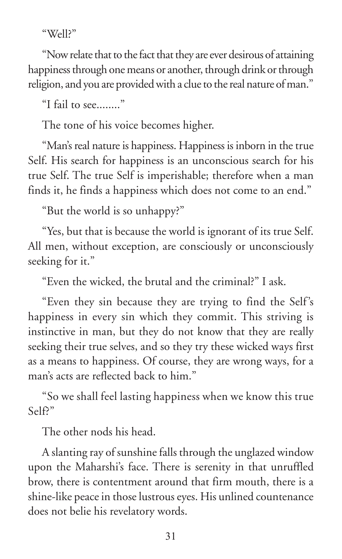"Well?"

"Now relate that to the fact that they are ever desirous of attaining happiness through one means or another, through drink or through religion, and you are provided with a clue to the real nature of man."

"I fail to see........"

The tone of his voice becomes higher.

"Man's real nature is happiness. Happiness is inborn in the true Self. His search for happiness is an unconscious search for his true Self. The true Self is imperishable; therefore when a man finds it, he finds a happiness which does not come to an end."

"But the world is so unhappy?"

"Yes, but that is because the world is ignorant of its true Self. All men, without exception, are consciously or unconsciously seeking for it."

"Even the wicked, the brutal and the criminal?" I ask.

"Even they sin because they are trying to find the Self's happiness in every sin which they commit. This striving is instinctive in man, but they do not know that they are really seeking their true selves, and so they try these wicked ways first as a means to happiness. Of course, they are wrong ways, for a man's acts are reflected back to him."

"So we shall feel lasting happiness when we know this true Self?"

The other nods his head.

A slanting ray of sunshine falls through the unglazed window upon the Maharshi's face. There is serenity in that unruffled brow, there is contentment around that firm mouth, there is a shine-like peace in those lustrous eyes. His unlined countenance does not belie his revelatory words.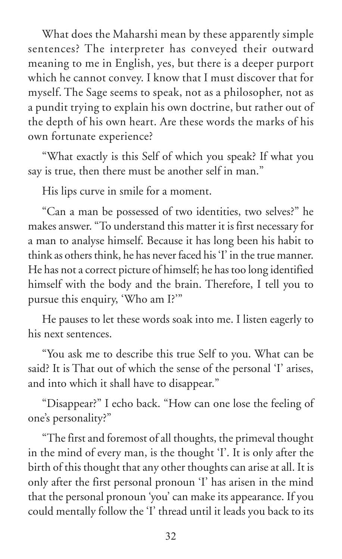What does the Maharshi mean by these apparently simple sentences? The interpreter has conveyed their outward meaning to me in English, yes, but there is a deeper purport which he cannot convey. I know that I must discover that for myself. The Sage seems to speak, not as a philosopher, not as a pundit trying to explain his own doctrine, but rather out of the depth of his own heart. Are these words the marks of his own fortunate experience?

"What exactly is this Self of which you speak? If what you say is true, then there must be another self in man."

His lips curve in smile for a moment.

"Can a man be possessed of two identities, two selves?" he makes answer. "To understand this matter it is first necessary for a man to analyse himself. Because it has long been his habit to think as others think, he has never faced his 'I' in the true manner. He has not a correct picture of himself; he has too long identified himself with the body and the brain. Therefore, I tell you to pursue this enquiry, 'Who am I?'"

He pauses to let these words soak into me. I listen eagerly to his next sentences.

"You ask me to describe this true Self to you. What can be said? It is That out of which the sense of the personal 'I' arises, and into which it shall have to disappear."

"Disappear?" I echo back. "How can one lose the feeling of one's personality?"

"The first and foremost of all thoughts, the primeval thought in the mind of every man, is the thought 'I'. It is only after the birth of this thought that any other thoughts can arise at all. It is only after the first personal pronoun 'I' has arisen in the mind that the personal pronoun 'you' can make its appearance. If you could mentally follow the 'I' thread until it leads you back to its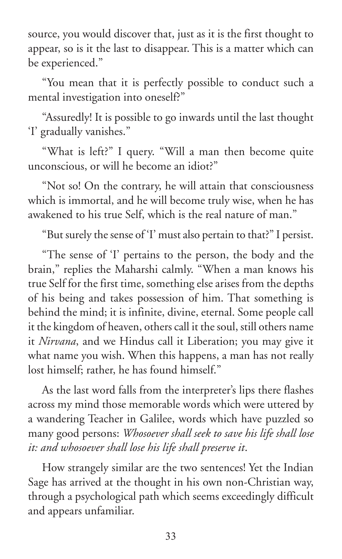source, you would discover that, just as it is the first thought to appear, so is it the last to disappear. This is a matter which can be experienced."

"You mean that it is perfectly possible to conduct such a mental investigation into oneself?"

"Assuredly! It is possible to go inwards until the last thought 'I' gradually vanishes."

"What is left?" I query. "Will a man then become quite unconscious, or will he become an idiot?"

"Not so! On the contrary, he will attain that consciousness which is immortal, and he will become truly wise, when he has awakened to his true Self, which is the real nature of man."

"But surely the sense of 'I' must also pertain to that?" I persist.

"The sense of 'I' pertains to the person, the body and the brain," replies the Maharshi calmly. "When a man knows his true Self for the first time, something else arises from the depths of his being and takes possession of him. That something is behind the mind; it is infinite, divine, eternal. Some people call it the kingdom of heaven, others call it the soul, still others name it *Nirvana*, and we Hindus call it Liberation; you may give it what name you wish. When this happens, a man has not really lost himself; rather, he has found himself."

As the last word falls from the interpreter's lips there flashes across my mind those memorable words which were uttered by a wandering Teacher in Galilee, words which have puzzled so many good persons: *Whosoever shall seek to save his life shall lose it: and whosoever shall lose his life shall preserve it*.

How strangely similar are the two sentences! Yet the Indian Sage has arrived at the thought in his own non-Christian way, through a psychological path which seems exceedingly difficult and appears unfamiliar.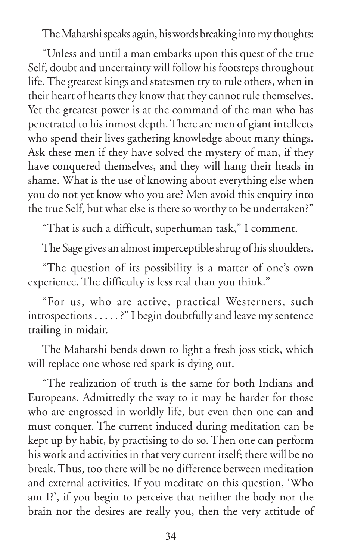The Maharshi speaks again, his words breaking into my thoughts:

"Unless and until a man embarks upon this quest of the true Self, doubt and uncertainty will follow his footsteps throughout life. The greatest kings and statesmen try to rule others, when in their heart of hearts they know that they cannot rule themselves. Yet the greatest power is at the command of the man who has penetrated to his inmost depth. There are men of giant intellects who spend their lives gathering knowledge about many things. Ask these men if they have solved the mystery of man, if they have conquered themselves, and they will hang their heads in shame. What is the use of knowing about everything else when you do not yet know who you are? Men avoid this enquiry into the true Self, but what else is there so worthy to be undertaken?"

"That is such a difficult, superhuman task," I comment.

The Sage gives an almost imperceptible shrug of his shoulders.

"The question of its possibility is a matter of one's own experience. The difficulty is less real than you think."

"For us, who are active, practical Westerners, such introspections . . . . . ?" I begin doubtfully and leave my sentence trailing in midair.

The Maharshi bends down to light a fresh joss stick, which will replace one whose red spark is dying out.

"The realization of truth is the same for both Indians and Europeans. Admittedly the way to it may be harder for those who are engrossed in worldly life, but even then one can and must conquer. The current induced during meditation can be kept up by habit, by practising to do so. Then one can perform his work and activities in that very current itself; there will be no break. Thus, too there will be no difference between meditation and external activities. If you meditate on this question, 'Who am I?', if you begin to perceive that neither the body nor the brain nor the desires are really you, then the very attitude of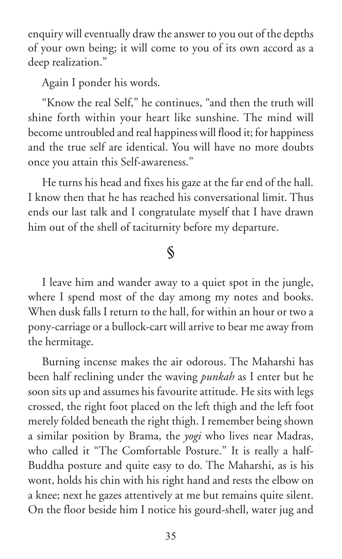enquiry will eventually draw the answer to you out of the depths of your own being; it will come to you of its own accord as a deep realization."

Again I ponder his words.

"Know the real Self," he continues, "and then the truth will shine forth within your heart like sunshine. The mind will become untroubled and real happiness will flood it; for happiness and the true self are identical. You will have no more doubts once you attain this Self-awareness."

He turns his head and fixes his gaze at the far end of the hall. I know then that he has reached his conversational limit. Thus ends our last talk and I congratulate myself that I have drawn him out of the shell of taciturnity before my departure.

## **§**

I leave him and wander away to a quiet spot in the jungle, where I spend most of the day among my notes and books. When dusk falls I return to the hall, for within an hour or two a pony-carriage or a bullock-cart will arrive to bear me away from the hermitage.

Burning incense makes the air odorous. The Maharshi has been half reclining under the waving *punkah* as I enter but he soon sits up and assumes his favourite attitude. He sits with legs crossed, the right foot placed on the left thigh and the left foot merely folded beneath the right thigh. I remember being shown a similar position by Brama, the *yogi* who lives near Madras, who called it "The Comfortable Posture." It is really a half-Buddha posture and quite easy to do. The Maharshi, as is his wont, holds his chin with his right hand and rests the elbow on a knee; next he gazes attentively at me but remains quite silent. On the floor beside him I notice his gourd-shell, water jug and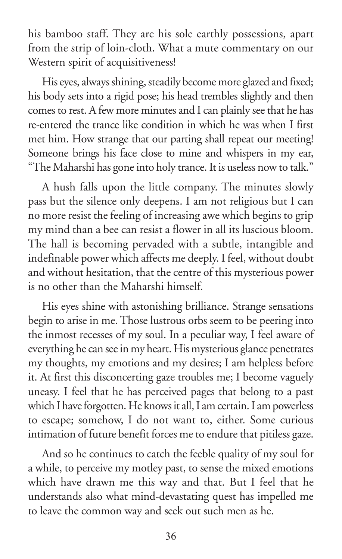his bamboo staff. They are his sole earthly possessions, apart from the strip of loin-cloth. What a mute commentary on our Western spirit of acquisitiveness!

His eyes, always shining, steadily become more glazed and fixed; his body sets into a rigid pose; his head trembles slightly and then comes to rest. A few more minutes and I can plainly see that he has re-entered the trance like condition in which he was when I first met him. How strange that our parting shall repeat our meeting! Someone brings his face close to mine and whispers in my ear, "The Maharshi has gone into holy trance. It is useless now to talk."

A hush falls upon the little company. The minutes slowly pass but the silence only deepens. I am not religious but I can no more resist the feeling of increasing awe which begins to grip my mind than a bee can resist a flower in all its luscious bloom. The hall is becoming pervaded with a subtle, intangible and indefinable power which affects me deeply. I feel, without doubt and without hesitation, that the centre of this mysterious power is no other than the Maharshi himself.

His eyes shine with astonishing brilliance. Strange sensations begin to arise in me. Those lustrous orbs seem to be peering into the inmost recesses of my soul. In a peculiar way, I feel aware of everything he can see in my heart. His mysterious glance penetrates my thoughts, my emotions and my desires; I am helpless before it. At first this disconcerting gaze troubles me; I become vaguely uneasy. I feel that he has perceived pages that belong to a past which I have forgotten. He knows it all, I am certain. I am powerless to escape; somehow, I do not want to, either. Some curious intimation of future benefit forces me to endure that pitiless gaze.

And so he continues to catch the feeble quality of my soul for a while, to perceive my motley past, to sense the mixed emotions which have drawn me this way and that. But I feel that he understands also what mind-devastating quest has impelled me to leave the common way and seek out such men as he.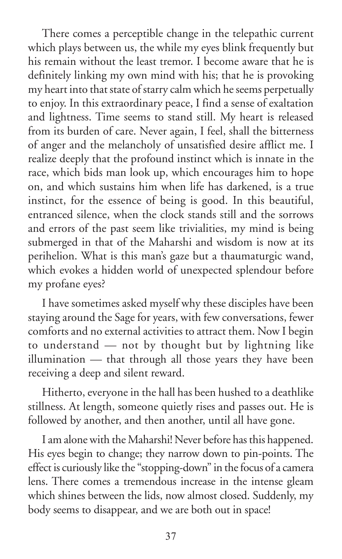There comes a perceptible change in the telepathic current which plays between us, the while my eyes blink frequently but his remain without the least tremor. I become aware that he is definitely linking my own mind with his; that he is provoking my heart into that state of starry calm which he seems perpetually to enjoy. In this extraordinary peace, I find a sense of exaltation and lightness. Time seems to stand still. My heart is released from its burden of care. Never again, I feel, shall the bitterness of anger and the melancholy of unsatisfied desire afflict me. I realize deeply that the profound instinct which is innate in the race, which bids man look up, which encourages him to hope on, and which sustains him when life has darkened, is a true instinct, for the essence of being is good. In this beautiful, entranced silence, when the clock stands still and the sorrows and errors of the past seem like trivialities, my mind is being submerged in that of the Maharshi and wisdom is now at its perihelion. What is this man's gaze but a thaumaturgic wand, which evokes a hidden world of unexpected splendour before my profane eyes?

I have sometimes asked myself why these disciples have been staying around the Sage for years, with few conversations, fewer comforts and no external activities to attract them. Now I begin to understand — not by thought but by lightning like illumination — that through all those years they have been receiving a deep and silent reward.

Hitherto, everyone in the hall has been hushed to a deathlike stillness. At length, someone quietly rises and passes out. He is followed by another, and then another, until all have gone.

I am alone with the Maharshi! Never before has this happened. His eyes begin to change; they narrow down to pin-points. The effect is curiously like the "stopping-down" in the focus of a camera lens. There comes a tremendous increase in the intense gleam which shines between the lids, now almost closed. Suddenly, my body seems to disappear, and we are both out in space!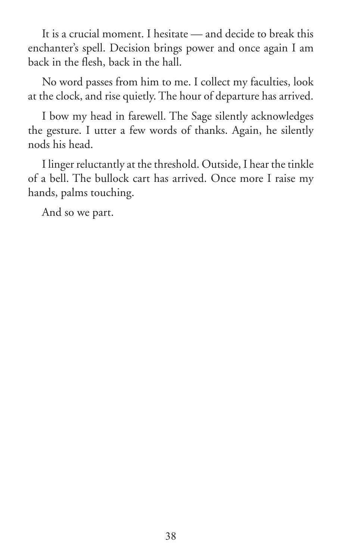It is a crucial moment. I hesitate — and decide to break this enchanter's spell. Decision brings power and once again I am back in the flesh, back in the hall.

No word passes from him to me. I collect my faculties, look at the clock, and rise quietly. The hour of departure has arrived.

I bow my head in farewell. The Sage silently acknowledges the gesture. I utter a few words of thanks. Again, he silently nods his head.

I linger reluctantly at the threshold. Outside, I hear the tinkle of a bell. The bullock cart has arrived. Once more I raise my hands, palms touching.

And so we part.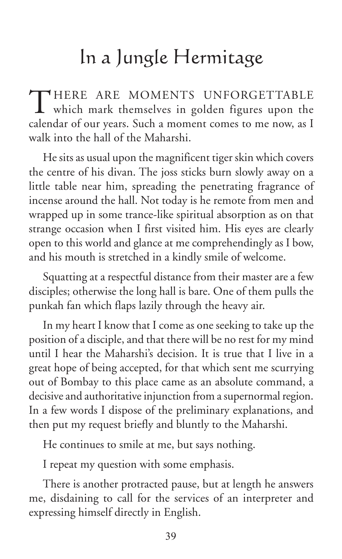# In a Jungle Hermitage

THERE ARE MOMENTS UNFORGETTABLE<br>which mark themselves in golden figures upon the calendar of our years. Such a moment comes to me now, as I walk into the hall of the Maharshi.

He sits as usual upon the magnificent tiger skin which covers the centre of his divan. The joss sticks burn slowly away on a little table near him, spreading the penetrating fragrance of incense around the hall. Not today is he remote from men and wrapped up in some trance-like spiritual absorption as on that strange occasion when I first visited him. His eyes are clearly open to this world and glance at me comprehendingly as I bow, and his mouth is stretched in a kindly smile of welcome.

Squatting at a respectful distance from their master are a few disciples; otherwise the long hall is bare. One of them pulls the punkah fan which flaps lazily through the heavy air.

In my heart I know that I come as one seeking to take up the position of a disciple, and that there will be no rest for my mind until I hear the Maharshi's decision. It is true that I live in a great hope of being accepted, for that which sent me scurrying out of Bombay to this place came as an absolute command, a decisive and authoritative injunction from a supernormal region. In a few words I dispose of the preliminary explanations, and then put my request briefly and bluntly to the Maharshi.

He continues to smile at me, but says nothing.

I repeat my question with some emphasis.

There is another protracted pause, but at length he answers me, disdaining to call for the services of an interpreter and expressing himself directly in English.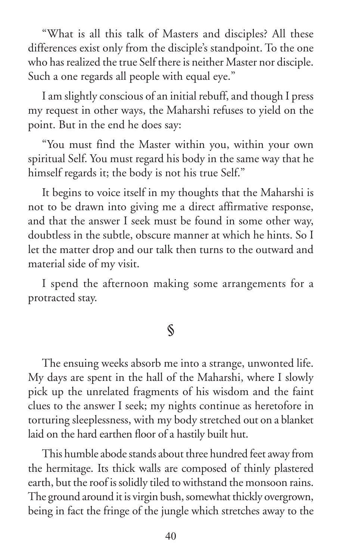"What is all this talk of Masters and disciples? All these differences exist only from the disciple's standpoint. To the one who has realized the true Self there is neither Master nor disciple. Such a one regards all people with equal eye."

I am slightly conscious of an initial rebuff, and though I press my request in other ways, the Maharshi refuses to yield on the point. But in the end he does say:

"You must find the Master within you, within your own spiritual Self. You must regard his body in the same way that he himself regards it; the body is not his true Self."

It begins to voice itself in my thoughts that the Maharshi is not to be drawn into giving me a direct affirmative response, and that the answer I seek must be found in some other way, doubtless in the subtle, obscure manner at which he hints. So I let the matter drop and our talk then turns to the outward and material side of my visit.

I spend the afternoon making some arrangements for a protracted stay.

### **§**

The ensuing weeks absorb me into a strange, unwonted life. My days are spent in the hall of the Maharshi, where I slowly pick up the unrelated fragments of his wisdom and the faint clues to the answer I seek; my nights continue as heretofore in torturing sleeplessness, with my body stretched out on a blanket laid on the hard earthen floor of a hastily built hut.

This humble abode stands about three hundred feet away from the hermitage. Its thick walls are composed of thinly plastered earth, but the roof is solidly tiled to withstand the monsoon rains. The ground around it is virgin bush, somewhat thickly overgrown, being in fact the fringe of the jungle which stretches away to the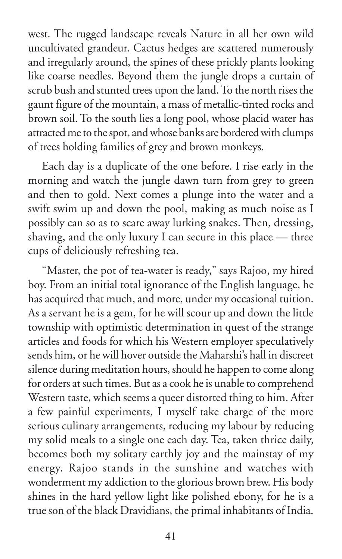west. The rugged landscape reveals Nature in all her own wild uncultivated grandeur. Cactus hedges are scattered numerously and irregularly around, the spines of these prickly plants looking like coarse needles. Beyond them the jungle drops a curtain of scrub bush and stunted trees upon the land. To the north rises the gaunt figure of the mountain, a mass of metallic-tinted rocks and brown soil. To the south lies a long pool, whose placid water has attracted me to the spot, and whose banks are bordered with clumps of trees holding families of grey and brown monkeys.

Each day is a duplicate of the one before. I rise early in the morning and watch the jungle dawn turn from grey to green and then to gold. Next comes a plunge into the water and a swift swim up and down the pool, making as much noise as I possibly can so as to scare away lurking snakes. Then, dressing, shaving, and the only luxury I can secure in this place — three cups of deliciously refreshing tea.

"Master, the pot of tea-water is ready," says Rajoo, my hired boy. From an initial total ignorance of the English language, he has acquired that much, and more, under my occasional tuition. As a servant he is a gem, for he will scour up and down the little township with optimistic determination in quest of the strange articles and foods for which his Western employer speculatively sends him, or he will hover outside the Maharshi's hall in discreet silence during meditation hours, should he happen to come along for orders at such times. But as a cook he is unable to comprehend Western taste, which seems a queer distorted thing to him. After a few painful experiments, I myself take charge of the more serious culinary arrangements, reducing my labour by reducing my solid meals to a single one each day. Tea, taken thrice daily, becomes both my solitary earthly joy and the mainstay of my energy. Rajoo stands in the sunshine and watches with wonderment my addiction to the glorious brown brew. His body shines in the hard yellow light like polished ebony, for he is a true son of the black Dravidians, the primal inhabitants of India.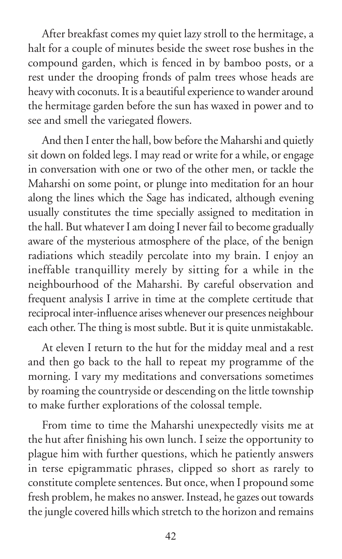After breakfast comes my quiet lazy stroll to the hermitage, a halt for a couple of minutes beside the sweet rose bushes in the compound garden, which is fenced in by bamboo posts, or a rest under the drooping fronds of palm trees whose heads are heavy with coconuts. It is a beautiful experience to wander around the hermitage garden before the sun has waxed in power and to see and smell the variegated flowers.

And then I enter the hall, bow before the Maharshi and quietly sit down on folded legs. I may read or write for a while, or engage in conversation with one or two of the other men, or tackle the Maharshi on some point, or plunge into meditation for an hour along the lines which the Sage has indicated, although evening usually constitutes the time specially assigned to meditation in the hall. But whatever I am doing I never fail to become gradually aware of the mysterious atmosphere of the place, of the benign radiations which steadily percolate into my brain. I enjoy an ineffable tranquillity merely by sitting for a while in the neighbourhood of the Maharshi. By careful observation and frequent analysis I arrive in time at the complete certitude that reciprocal inter-influence arises whenever our presences neighbour each other. The thing is most subtle. But it is quite unmistakable.

At eleven I return to the hut for the midday meal and a rest and then go back to the hall to repeat my programme of the morning. I vary my meditations and conversations sometimes by roaming the countryside or descending on the little township to make further explorations of the colossal temple.

From time to time the Maharshi unexpectedly visits me at the hut after finishing his own lunch. I seize the opportunity to plague him with further questions, which he patiently answers in terse epigrammatic phrases, clipped so short as rarely to constitute complete sentences. But once, when I propound some fresh problem, he makes no answer. Instead, he gazes out towards the jungle covered hills which stretch to the horizon and remains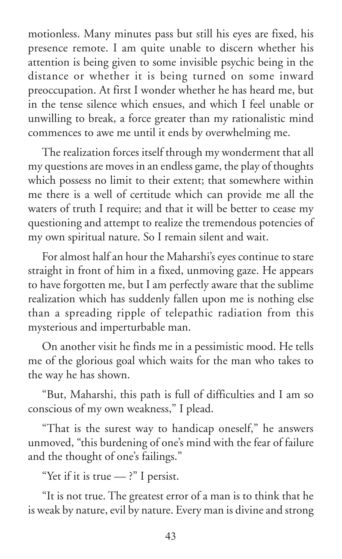motionless. Many minutes pass but still his eyes are fixed, his presence remote. I am quite unable to discern whether his attention is being given to some invisible psychic being in the distance or whether it is being turned on some inward preoccupation. At first I wonder whether he has heard me, but in the tense silence which ensues, and which I feel unable or unwilling to break, a force greater than my rationalistic mind commences to awe me until it ends by overwhelming me.

The realization forces itself through my wonderment that all my questions are moves in an endless game, the play of thoughts which possess no limit to their extent; that somewhere within me there is a well of certitude which can provide me all the waters of truth I require; and that it will be better to cease my questioning and attempt to realize the tremendous potencies of my own spiritual nature. So I remain silent and wait.

For almost half an hour the Maharshi's eyes continue to stare straight in front of him in a fixed, unmoving gaze. He appears to have forgotten me, but I am perfectly aware that the sublime realization which has suddenly fallen upon me is nothing else than a spreading ripple of telepathic radiation from this mysterious and imperturbable man.

On another visit he finds me in a pessimistic mood. He tells me of the glorious goal which waits for the man who takes to the way he has shown.

"But, Maharshi, this path is full of difficulties and I am so conscious of my own weakness," I plead.

"That is the surest way to handicap oneself," he answers unmoved, "this burdening of one's mind with the fear of failure and the thought of one's failings."

"Yet if it is true  $-$ ?" I persist.

"It is not true. The greatest error of a man is to think that he is weak by nature, evil by nature. Every man is divine and strong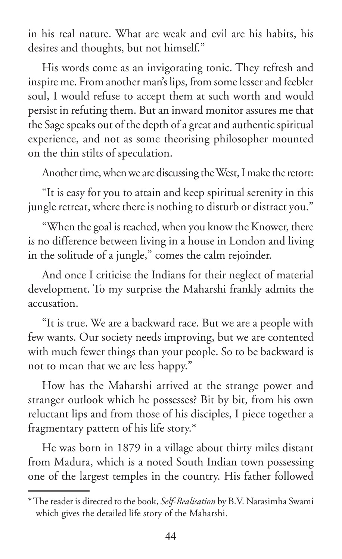in his real nature. What are weak and evil are his habits, his desires and thoughts, but not himself."

His words come as an invigorating tonic. They refresh and inspire me. From another man's lips, from some lesser and feebler soul, I would refuse to accept them at such worth and would persist in refuting them. But an inward monitor assures me that the Sage speaks out of the depth of a great and authentic spiritual experience, and not as some theorising philosopher mounted on the thin stilts of speculation.

Another time, when we are discussing the West, I make the retort:

"It is easy for you to attain and keep spiritual serenity in this jungle retreat, where there is nothing to disturb or distract you."

"When the goal is reached, when you know the Knower, there is no difference between living in a house in London and living in the solitude of a jungle," comes the calm rejoinder.

And once I criticise the Indians for their neglect of material development. To my surprise the Maharshi frankly admits the accusation.

"It is true. We are a backward race. But we are a people with few wants. Our society needs improving, but we are contented with much fewer things than your people. So to be backward is not to mean that we are less happy."

How has the Maharshi arrived at the strange power and stranger outlook which he possesses? Bit by bit, from his own reluctant lips and from those of his disciples, I piece together a fragmentary pattern of his life story.\*

He was born in 1879 in a village about thirty miles distant from Madura, which is a noted South Indian town possessing one of the largest temples in the country. His father followed

<sup>\*</sup> The reader is directed to the book, *Self-Realisation* by B.V. Narasimha Swami which gives the detailed life story of the Maharshi.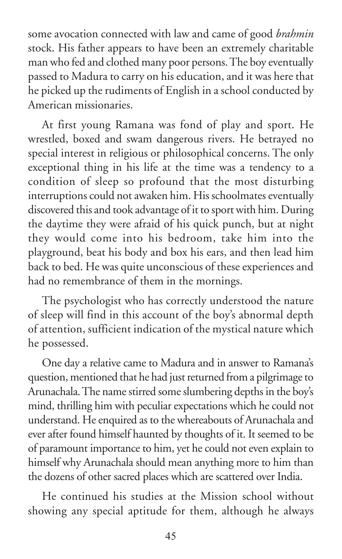some avocation connected with law and came of good *brahmin* stock. His father appears to have been an extremely charitable man who fed and clothed many poor persons. The boy eventually passed to Madura to carry on his education, and it was here that he picked up the rudiments of English in a school conducted by American missionaries.

At first young Ramana was fond of play and sport. He wrestled, boxed and swam dangerous rivers. He betrayed no special interest in religious or philosophical concerns. The only exceptional thing in his life at the time was a tendency to a condition of sleep so profound that the most disturbing interruptions could not awaken him. His schoolmates eventually discovered this and took advantage of it to sport with him. During the daytime they were afraid of his quick punch, but at night they would come into his bedroom, take him into the playground, beat his body and box his ears, and then lead him back to bed. He was quite unconscious of these experiences and had no remembrance of them in the mornings.

The psychologist who has correctly understood the nature of sleep will find in this account of the boy's abnormal depth of attention, sufficient indication of the mystical nature which he possessed.

One day a relative came to Madura and in answer to Ramana's question, mentioned that he had just returned from a pilgrimage to Arunachala. The name stirred some slumbering depths in the boy's mind, thrilling him with peculiar expectations which he could not understand. He enquired as to the whereabouts of Arunachala and ever after found himself haunted by thoughts of it. It seemed to be of paramount importance to him, yet he could not even explain to himself why Arunachala should mean anything more to him than the dozens of other sacred places which are scattered over India.

He continued his studies at the Mission school without showing any special aptitude for them, although he always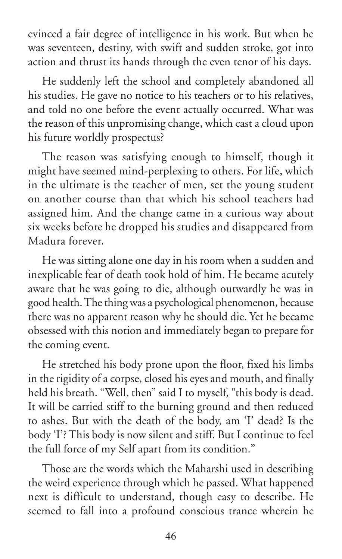evinced a fair degree of intelligence in his work. But when he was seventeen, destiny, with swift and sudden stroke, got into action and thrust its hands through the even tenor of his days.

He suddenly left the school and completely abandoned all his studies. He gave no notice to his teachers or to his relatives, and told no one before the event actually occurred. What was the reason of this unpromising change, which cast a cloud upon his future worldly prospectus?

The reason was satisfying enough to himself, though it might have seemed mind-perplexing to others. For life, which in the ultimate is the teacher of men, set the young student on another course than that which his school teachers had assigned him. And the change came in a curious way about six weeks before he dropped his studies and disappeared from Madura forever.

He was sitting alone one day in his room when a sudden and inexplicable fear of death took hold of him. He became acutely aware that he was going to die, although outwardly he was in good health. The thing was a psychological phenomenon, because there was no apparent reason why he should die. Yet he became obsessed with this notion and immediately began to prepare for the coming event.

He stretched his body prone upon the floor, fixed his limbs in the rigidity of a corpse, closed his eyes and mouth, and finally held his breath. "Well, then" said I to myself, "this body is dead. It will be carried stiff to the burning ground and then reduced to ashes. But with the death of the body, am 'I' dead? Is the body 'I'? This body is now silent and stiff. But I continue to feel the full force of my Self apart from its condition."

Those are the words which the Maharshi used in describing the weird experience through which he passed. What happened next is difficult to understand, though easy to describe. He seemed to fall into a profound conscious trance wherein he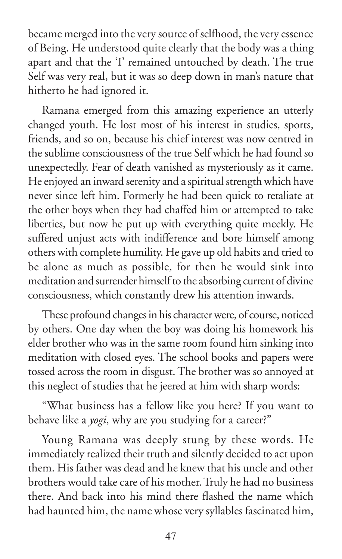became merged into the very source of selfhood, the very essence of Being. He understood quite clearly that the body was a thing apart and that the 'I' remained untouched by death. The true Self was very real, but it was so deep down in man's nature that hitherto he had ignored it.

Ramana emerged from this amazing experience an utterly changed youth. He lost most of his interest in studies, sports, friends, and so on, because his chief interest was now centred in the sublime consciousness of the true Self which he had found so unexpectedly. Fear of death vanished as mysteriously as it came. He enjoyed an inward serenity and a spiritual strength which have never since left him. Formerly he had been quick to retaliate at the other boys when they had chaffed him or attempted to take liberties, but now he put up with everything quite meekly. He suffered unjust acts with indifference and bore himself among others with complete humility. He gave up old habits and tried to be alone as much as possible, for then he would sink into meditation and surrender himself to the absorbing current of divine consciousness, which constantly drew his attention inwards.

These profound changes in his character were, of course, noticed by others. One day when the boy was doing his homework his elder brother who was in the same room found him sinking into meditation with closed eyes. The school books and papers were tossed across the room in disgust. The brother was so annoyed at this neglect of studies that he jeered at him with sharp words:

"What business has a fellow like you here? If you want to behave like a *yogi*, why are you studying for a career?"

Young Ramana was deeply stung by these words. He immediately realized their truth and silently decided to act upon them. His father was dead and he knew that his uncle and other brothers would take care of his mother. Truly he had no business there. And back into his mind there flashed the name which had haunted him, the name whose very syllables fascinated him,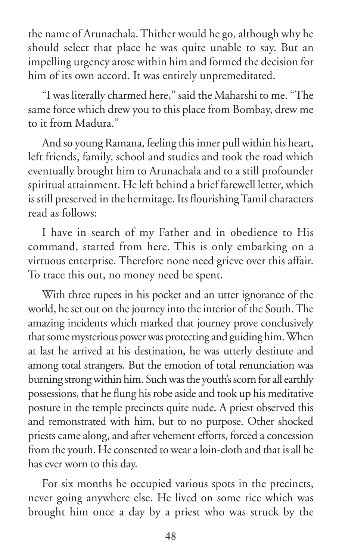the name of Arunachala. Thither would he go, although why he should select that place he was quite unable to say. But an impelling urgency arose within him and formed the decision for him of its own accord. It was entirely unpremeditated.

"I was literally charmed here," said the Maharshi to me. "The same force which drew you to this place from Bombay, drew me to it from Madura."

And so young Ramana, feeling this inner pull within his heart, left friends, family, school and studies and took the road which eventually brought him to Arunachala and to a still profounder spiritual attainment. He left behind a brief farewell letter, which is still preserved in the hermitage. Its flourishing Tamil characters read as follows:

I have in search of my Father and in obedience to His command, started from here. This is only embarking on a virtuous enterprise. Therefore none need grieve over this affair. To trace this out, no money need be spent.

With three rupees in his pocket and an utter ignorance of the world, he set out on the journey into the interior of the South. The amazing incidents which marked that journey prove conclusively that some mysterious power was protecting and guiding him. When at last he arrived at his destination, he was utterly destitute and among total strangers. But the emotion of total renunciation was burning strong within him. Such was the youth's scorn for all earthly possessions, that he flung his robe aside and took up his meditative posture in the temple precincts quite nude. A priest observed this and remonstrated with him, but to no purpose. Other shocked priests came along, and after vehement efforts, forced a concession from the youth. He consented to wear a loin-cloth and that is all he has ever worn to this day.

For six months he occupied various spots in the precincts, never going anywhere else. He lived on some rice which was brought him once a day by a priest who was struck by the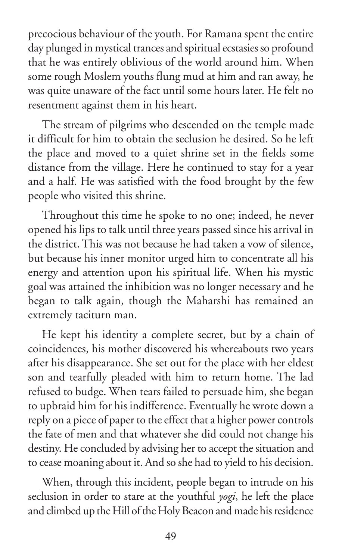precocious behaviour of the youth. For Ramana spent the entire day plunged in mystical trances and spiritual ecstasies so profound that he was entirely oblivious of the world around him. When some rough Moslem youths flung mud at him and ran away, he was quite unaware of the fact until some hours later. He felt no resentment against them in his heart.

The stream of pilgrims who descended on the temple made it difficult for him to obtain the seclusion he desired. So he left the place and moved to a quiet shrine set in the fields some distance from the village. Here he continued to stay for a year and a half. He was satisfied with the food brought by the few people who visited this shrine.

Throughout this time he spoke to no one; indeed, he never opened his lips to talk until three years passed since his arrival in the district. This was not because he had taken a vow of silence, but because his inner monitor urged him to concentrate all his energy and attention upon his spiritual life. When his mystic goal was attained the inhibition was no longer necessary and he began to talk again, though the Maharshi has remained an extremely taciturn man.

He kept his identity a complete secret, but by a chain of coincidences, his mother discovered his whereabouts two years after his disappearance. She set out for the place with her eldest son and tearfully pleaded with him to return home. The lad refused to budge. When tears failed to persuade him, she began to upbraid him for his indifference. Eventually he wrote down a reply on a piece of paper to the effect that a higher power controls the fate of men and that whatever she did could not change his destiny. He concluded by advising her to accept the situation and to cease moaning about it. And so she had to yield to his decision.

When, through this incident, people began to intrude on his seclusion in order to stare at the youthful *yogi*, he left the place and climbed up the Hill of the Holy Beacon and made his residence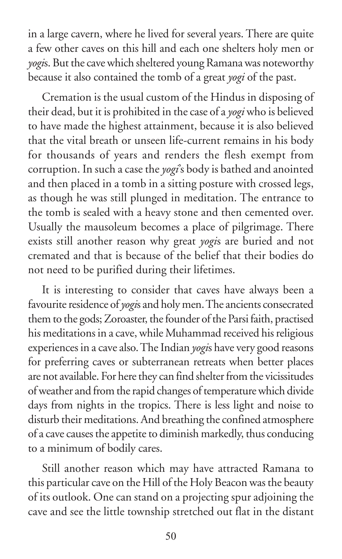in a large cavern, where he lived for several years. There are quite a few other caves on this hill and each one shelters holy men or *yogi*s. But the cave which sheltered young Ramana was noteworthy because it also contained the tomb of a great *yogi* of the past.

Cremation is the usual custom of the Hindus in disposing of their dead, but it is prohibited in the case of a *yogi* who is believed to have made the highest attainment, because it is also believed that the vital breath or unseen life-current remains in his body for thousands of years and renders the flesh exempt from corruption. In such a case the *yogi*'s body is bathed and anointed and then placed in a tomb in a sitting posture with crossed legs, as though he was still plunged in meditation. The entrance to the tomb is sealed with a heavy stone and then cemented over. Usually the mausoleum becomes a place of pilgrimage. There exists still another reason why great *yogi*s are buried and not cremated and that is because of the belief that their bodies do not need to be purified during their lifetimes.

It is interesting to consider that caves have always been a favourite residence of *yogi*s and holy men. The ancients consecrated them to the gods; Zoroaster, the founder of the Parsi faith, practised his meditations in a cave, while Muhammad received his religious experiences in a cave also. The Indian *yogi*s have very good reasons for preferring caves or subterranean retreats when better places are not available. For here they can find shelter from the vicissitudes of weather and from the rapid changes of temperature which divide days from nights in the tropics. There is less light and noise to disturb their meditations. And breathing the confined atmosphere of a cave causes the appetite to diminish markedly, thus conducing to a minimum of bodily cares.

Still another reason which may have attracted Ramana to this particular cave on the Hill of the Holy Beacon was the beauty of its outlook. One can stand on a projecting spur adjoining the cave and see the little township stretched out flat in the distant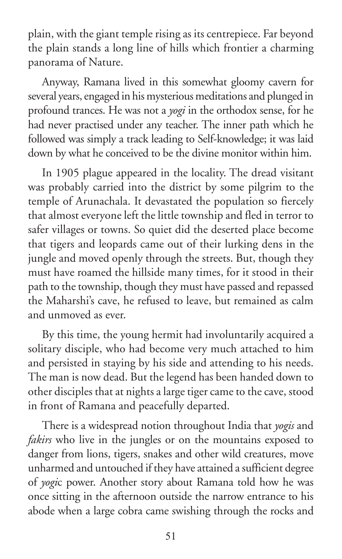plain, with the giant temple rising as its centrepiece. Far beyond the plain stands a long line of hills which frontier a charming panorama of Nature.

Anyway, Ramana lived in this somewhat gloomy cavern for several years, engaged in his mysterious meditations and plunged in profound trances. He was not a *yogi* in the orthodox sense, for he had never practised under any teacher. The inner path which he followed was simply a track leading to Self-knowledge; it was laid down by what he conceived to be the divine monitor within him.

In 1905 plague appeared in the locality. The dread visitant was probably carried into the district by some pilgrim to the temple of Arunachala. It devastated the population so fiercely that almost everyone left the little township and fled in terror to safer villages or towns. So quiet did the deserted place become that tigers and leopards came out of their lurking dens in the jungle and moved openly through the streets. But, though they must have roamed the hillside many times, for it stood in their path to the township, though they must have passed and repassed the Maharshi's cave, he refused to leave, but remained as calm and unmoved as ever.

By this time, the young hermit had involuntarily acquired a solitary disciple, who had become very much attached to him and persisted in staying by his side and attending to his needs. The man is now dead. But the legend has been handed down to other disciples that at nights a large tiger came to the cave, stood in front of Ramana and peacefully departed.

There is a widespread notion throughout India that *yogis* and *fakirs* who live in the jungles or on the mountains exposed to danger from lions, tigers, snakes and other wild creatures, move unharmed and untouched if they have attained a sufficient degree of *yogi*c power. Another story about Ramana told how he was once sitting in the afternoon outside the narrow entrance to his abode when a large cobra came swishing through the rocks and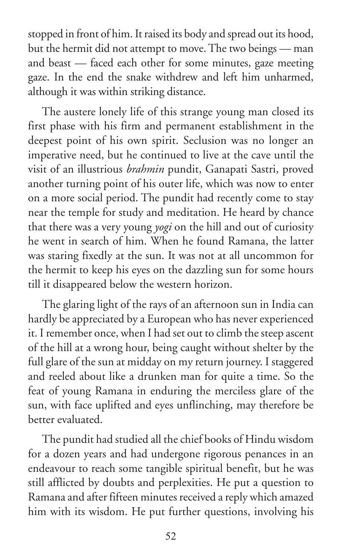stopped in front of him. It raised its body and spread out its hood, but the hermit did not attempt to move. The two beings — man and beast — faced each other for some minutes, gaze meeting gaze. In the end the snake withdrew and left him unharmed, although it was within striking distance.

The austere lonely life of this strange young man closed its first phase with his firm and permanent establishment in the deepest point of his own spirit. Seclusion was no longer an imperative need, but he continued to live at the cave until the visit of an illustrious *brahmin* pundit, Ganapati Sastri, proved another turning point of his outer life, which was now to enter on a more social period. The pundit had recently come to stay near the temple for study and meditation. He heard by chance that there was a very young *yogi* on the hill and out of curiosity he went in search of him. When he found Ramana, the latter was staring fixedly at the sun. It was not at all uncommon for the hermit to keep his eyes on the dazzling sun for some hours till it disappeared below the western horizon.

The glaring light of the rays of an afternoon sun in India can hardly be appreciated by a European who has never experienced it. I remember once, when I had set out to climb the steep ascent of the hill at a wrong hour, being caught without shelter by the full glare of the sun at midday on my return journey. I staggered and reeled about like a drunken man for quite a time. So the feat of young Ramana in enduring the merciless glare of the sun, with face uplifted and eyes unflinching, may therefore be better evaluated.

The pundit had studied all the chief books of Hindu wisdom for a dozen years and had undergone rigorous penances in an endeavour to reach some tangible spiritual benefit, but he was still afflicted by doubts and perplexities. He put a question to Ramana and after fifteen minutes received a reply which amazed him with its wisdom. He put further questions, involving his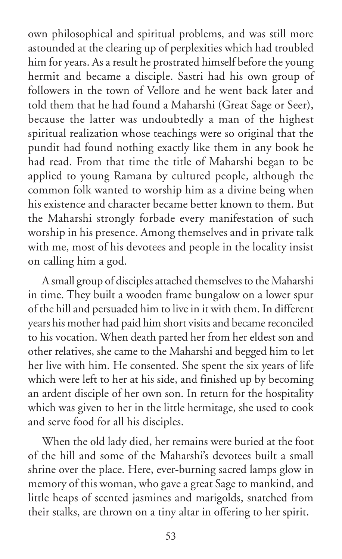own philosophical and spiritual problems, and was still more astounded at the clearing up of perplexities which had troubled him for years. As a result he prostrated himself before the young hermit and became a disciple. Sastri had his own group of followers in the town of Vellore and he went back later and told them that he had found a Maharshi (Great Sage or Seer), because the latter was undoubtedly a man of the highest spiritual realization whose teachings were so original that the pundit had found nothing exactly like them in any book he had read. From that time the title of Maharshi began to be applied to young Ramana by cultured people, although the common folk wanted to worship him as a divine being when his existence and character became better known to them. But the Maharshi strongly forbade every manifestation of such worship in his presence. Among themselves and in private talk with me, most of his devotees and people in the locality insist on calling him a god.

A small group of disciples attached themselves to the Maharshi in time. They built a wooden frame bungalow on a lower spur of the hill and persuaded him to live in it with them. In different years his mother had paid him short visits and became reconciled to his vocation. When death parted her from her eldest son and other relatives, she came to the Maharshi and begged him to let her live with him. He consented. She spent the six years of life which were left to her at his side, and finished up by becoming an ardent disciple of her own son. In return for the hospitality which was given to her in the little hermitage, she used to cook and serve food for all his disciples.

When the old lady died, her remains were buried at the foot of the hill and some of the Maharshi's devotees built a small shrine over the place. Here, ever-burning sacred lamps glow in memory of this woman, who gave a great Sage to mankind, and little heaps of scented jasmines and marigolds, snatched from their stalks, are thrown on a tiny altar in offering to her spirit.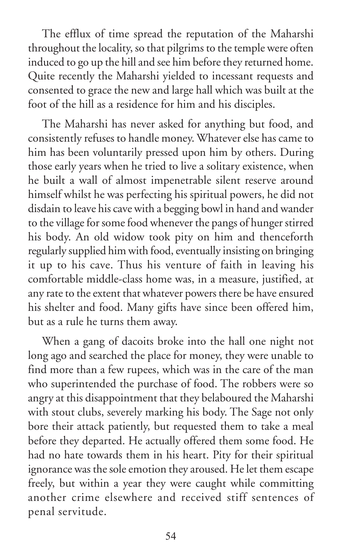The efflux of time spread the reputation of the Maharshi throughout the locality, so that pilgrims to the temple were often induced to go up the hill and see him before they returned home. Quite recently the Maharshi yielded to incessant requests and consented to grace the new and large hall which was built at the foot of the hill as a residence for him and his disciples.

The Maharshi has never asked for anything but food, and consistently refuses to handle money. Whatever else has came to him has been voluntarily pressed upon him by others. During those early years when he tried to live a solitary existence, when he built a wall of almost impenetrable silent reserve around himself whilst he was perfecting his spiritual powers, he did not disdain to leave his cave with a begging bowl in hand and wander to the village for some food whenever the pangs of hunger stirred his body. An old widow took pity on him and thenceforth regularly supplied him with food, eventually insisting on bringing it up to his cave. Thus his venture of faith in leaving his comfortable middle-class home was, in a measure, justified, at any rate to the extent that whatever powers there be have ensured his shelter and food. Many gifts have since been offered him, but as a rule he turns them away.

When a gang of dacoits broke into the hall one night not long ago and searched the place for money, they were unable to find more than a few rupees, which was in the care of the man who superintended the purchase of food. The robbers were so angry at this disappointment that they belaboured the Maharshi with stout clubs, severely marking his body. The Sage not only bore their attack patiently, but requested them to take a meal before they departed. He actually offered them some food. He had no hate towards them in his heart. Pity for their spiritual ignorance was the sole emotion they aroused. He let them escape freely, but within a year they were caught while committing another crime elsewhere and received stiff sentences of penal servitude.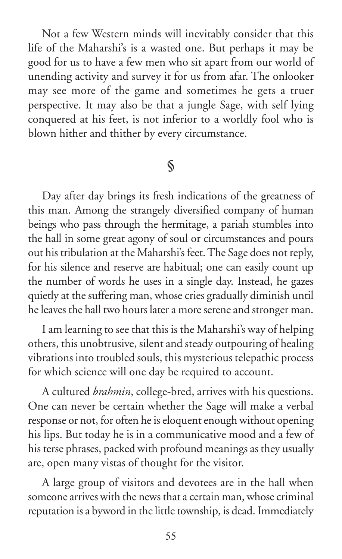Not a few Western minds will inevitably consider that this life of the Maharshi's is a wasted one. But perhaps it may be good for us to have a few men who sit apart from our world of unending activity and survey it for us from afar. The onlooker may see more of the game and sometimes he gets a truer perspective. It may also be that a jungle Sage, with self lying conquered at his feet, is not inferior to a worldly fool who is blown hither and thither by every circumstance.

#### **§**

Day after day brings its fresh indications of the greatness of this man. Among the strangely diversified company of human beings who pass through the hermitage, a pariah stumbles into the hall in some great agony of soul or circumstances and pours out his tribulation at the Maharshi's feet. The Sage does not reply, for his silence and reserve are habitual; one can easily count up the number of words he uses in a single day. Instead, he gazes quietly at the suffering man, whose cries gradually diminish until he leaves the hall two hours later a more serene and stronger man.

I am learning to see that this is the Maharshi's way of helping others, this unobtrusive, silent and steady outpouring of healing vibrations into troubled souls, this mysterious telepathic process for which science will one day be required to account.

A cultured *brahmin*, college-bred, arrives with his questions. One can never be certain whether the Sage will make a verbal response or not, for often he is eloquent enough without opening his lips. But today he is in a communicative mood and a few of his terse phrases, packed with profound meanings as they usually are, open many vistas of thought for the visitor.

A large group of visitors and devotees are in the hall when someone arrives with the news that a certain man, whose criminal reputation is a byword in the little township, is dead. Immediately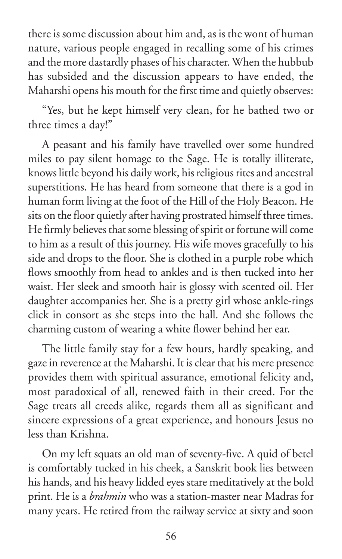there is some discussion about him and, as is the wont of human nature, various people engaged in recalling some of his crimes and the more dastardly phases of his character. When the hubbub has subsided and the discussion appears to have ended, the Maharshi opens his mouth for the first time and quietly observes:

"Yes, but he kept himself very clean, for he bathed two or three times a day!"

A peasant and his family have travelled over some hundred miles to pay silent homage to the Sage. He is totally illiterate, knows little beyond his daily work, his religious rites and ancestral superstitions. He has heard from someone that there is a god in human form living at the foot of the Hill of the Holy Beacon. He sits on the floor quietly after having prostrated himself three times. He firmly believes that some blessing of spirit or fortune will come to him as a result of this journey. His wife moves gracefully to his side and drops to the floor. She is clothed in a purple robe which flows smoothly from head to ankles and is then tucked into her waist. Her sleek and smooth hair is glossy with scented oil. Her daughter accompanies her. She is a pretty girl whose ankle-rings click in consort as she steps into the hall. And she follows the charming custom of wearing a white flower behind her ear.

The little family stay for a few hours, hardly speaking, and gaze in reverence at the Maharshi. It is clear that his mere presence provides them with spiritual assurance, emotional felicity and, most paradoxical of all, renewed faith in their creed. For the Sage treats all creeds alike, regards them all as significant and sincere expressions of a great experience, and honours Jesus no less than Krishna.

On my left squats an old man of seventy-five. A quid of betel is comfortably tucked in his cheek, a Sanskrit book lies between his hands, and his heavy lidded eyes stare meditatively at the bold print. He is a *brahmin* who was a station-master near Madras for many years. He retired from the railway service at sixty and soon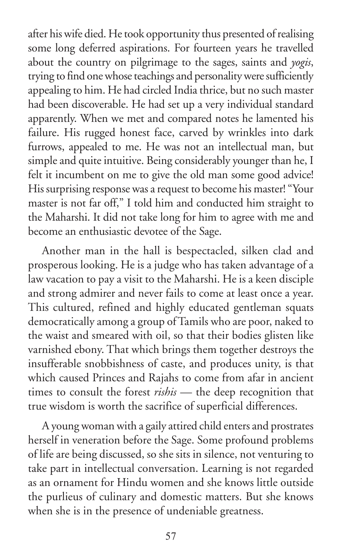after his wife died. He took opportunity thus presented of realising some long deferred aspirations. For fourteen years he travelled about the country on pilgrimage to the sages, saints and *yogis*, trying to find one whose teachings and personality were sufficiently appealing to him. He had circled India thrice, but no such master had been discoverable. He had set up a very individual standard apparently. When we met and compared notes he lamented his failure. His rugged honest face, carved by wrinkles into dark furrows, appealed to me. He was not an intellectual man, but simple and quite intuitive. Being considerably younger than he, I felt it incumbent on me to give the old man some good advice! His surprising response was a request to become his master! "Your master is not far off," I told him and conducted him straight to the Maharshi. It did not take long for him to agree with me and become an enthusiastic devotee of the Sage.

Another man in the hall is bespectacled, silken clad and prosperous looking. He is a judge who has taken advantage of a law vacation to pay a visit to the Maharshi. He is a keen disciple and strong admirer and never fails to come at least once a year. This cultured, refined and highly educated gentleman squats democratically among a group of Tamils who are poor, naked to the waist and smeared with oil, so that their bodies glisten like varnished ebony. That which brings them together destroys the insufferable snobbishness of caste, and produces unity, is that which caused Princes and Rajahs to come from afar in ancient times to consult the forest *rishis* — the deep recognition that true wisdom is worth the sacrifice of superficial differences.

A young woman with a gaily attired child enters and prostrates herself in veneration before the Sage. Some profound problems of life are being discussed, so she sits in silence, not venturing to take part in intellectual conversation. Learning is not regarded as an ornament for Hindu women and she knows little outside the purlieus of culinary and domestic matters. But she knows when she is in the presence of undeniable greatness.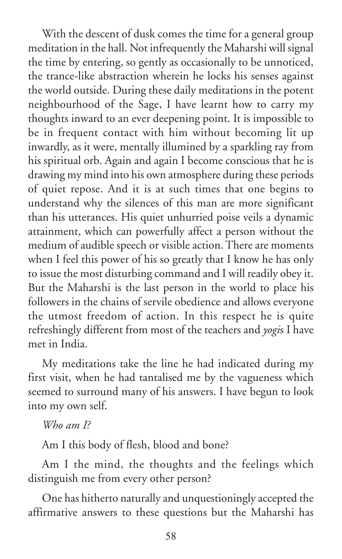With the descent of dusk comes the time for a general group meditation in the hall. Not infrequently the Maharshi will signal the time by entering, so gently as occasionally to be unnoticed, the trance-like abstraction wherein he locks his senses against the world outside. During these daily meditations in the potent neighbourhood of the Sage, I have learnt how to carry my thoughts inward to an ever deepening point. It is impossible to be in frequent contact with him without becoming lit up inwardly, as it were, mentally illumined by a sparkling ray from his spiritual orb. Again and again I become conscious that he is drawing my mind into his own atmosphere during these periods of quiet repose. And it is at such times that one begins to understand why the silences of this man are more significant than his utterances. His quiet unhurried poise veils a dynamic attainment, which can powerfully affect a person without the medium of audible speech or visible action. There are moments when I feel this power of his so greatly that I know he has only to issue the most disturbing command and I will readily obey it. But the Maharshi is the last person in the world to place his followers in the chains of servile obedience and allows everyone the utmost freedom of action. In this respect he is quite refreshingly different from most of the teachers and *yogi*s I have met in India.

My meditations take the line he had indicated during my first visit, when he had tantalised me by the vagueness which seemed to surround many of his answers. I have begun to look into my own self.

#### *Who am I?*

Am I this body of flesh, blood and bone?

Am I the mind, the thoughts and the feelings which distinguish me from every other person?

One has hitherto naturally and unquestioningly accepted the affirmative answers to these questions but the Maharshi has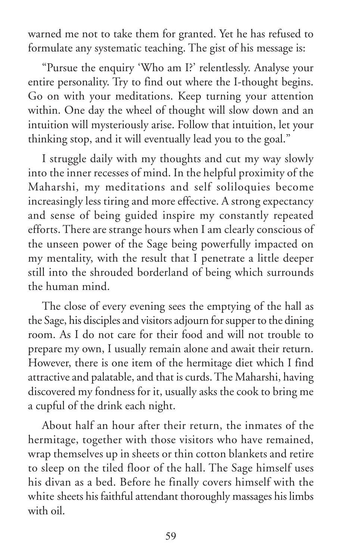warned me not to take them for granted. Yet he has refused to formulate any systematic teaching. The gist of his message is:

"Pursue the enquiry 'Who am I?' relentlessly. Analyse your entire personality. Try to find out where the I-thought begins. Go on with your meditations. Keep turning your attention within. One day the wheel of thought will slow down and an intuition will mysteriously arise. Follow that intuition, let your thinking stop, and it will eventually lead you to the goal."

I struggle daily with my thoughts and cut my way slowly into the inner recesses of mind. In the helpful proximity of the Maharshi, my meditations and self soliloquies become increasingly less tiring and more effective. A strong expectancy and sense of being guided inspire my constantly repeated efforts. There are strange hours when I am clearly conscious of the unseen power of the Sage being powerfully impacted on my mentality, with the result that I penetrate a little deeper still into the shrouded borderland of being which surrounds the human mind.

The close of every evening sees the emptying of the hall as the Sage, his disciples and visitors adjourn for supper to the dining room. As I do not care for their food and will not trouble to prepare my own, I usually remain alone and await their return. However, there is one item of the hermitage diet which I find attractive and palatable, and that is curds. The Maharshi, having discovered my fondness for it, usually asks the cook to bring me a cupful of the drink each night.

About half an hour after their return, the inmates of the hermitage, together with those visitors who have remained, wrap themselves up in sheets or thin cotton blankets and retire to sleep on the tiled floor of the hall. The Sage himself uses his divan as a bed. Before he finally covers himself with the white sheets his faithful attendant thoroughly massages his limbs with oil.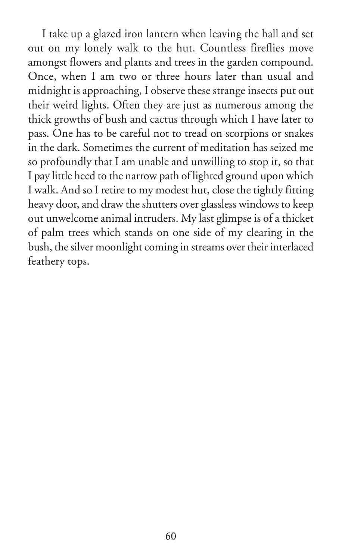I take up a glazed iron lantern when leaving the hall and set out on my lonely walk to the hut. Countless fireflies move amongst flowers and plants and trees in the garden compound. Once, when I am two or three hours later than usual and midnight is approaching, I observe these strange insects put out their weird lights. Often they are just as numerous among the thick growths of bush and cactus through which I have later to pass. One has to be careful not to tread on scorpions or snakes in the dark. Sometimes the current of meditation has seized me so profoundly that I am unable and unwilling to stop it, so that I pay little heed to the narrow path of lighted ground upon which I walk. And so I retire to my modest hut, close the tightly fitting heavy door, and draw the shutters over glassless windows to keep out unwelcome animal intruders. My last glimpse is of a thicket of palm trees which stands on one side of my clearing in the bush, the silver moonlight coming in streams over their interlaced feathery tops.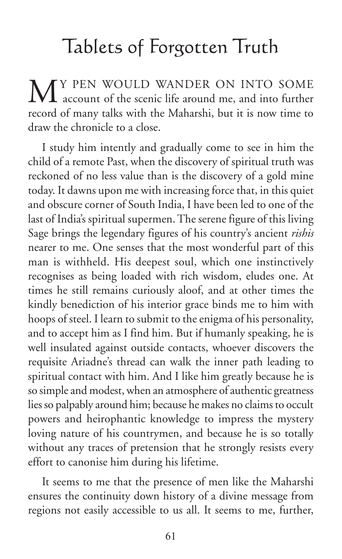## Tablets of Forgotten Truth

MY PEN WOULD WANDER ON INTO SOME<br>account of the scenic life around me, and into further record of many talks with the Maharshi, but it is now time to draw the chronicle to a close.

I study him intently and gradually come to see in him the child of a remote Past, when the discovery of spiritual truth was reckoned of no less value than is the discovery of a gold mine today. It dawns upon me with increasing force that, in this quiet and obscure corner of South India, I have been led to one of the last of India's spiritual supermen. The serene figure of this living Sage brings the legendary figures of his country's ancient *rishis* nearer to me. One senses that the most wonderful part of this man is withheld. His deepest soul, which one instinctively recognises as being loaded with rich wisdom, eludes one. At times he still remains curiously aloof, and at other times the kindly benediction of his interior grace binds me to him with hoops of steel. I learn to submit to the enigma of his personality, and to accept him as I find him. But if humanly speaking, he is well insulated against outside contacts, whoever discovers the requisite Ariadne's thread can walk the inner path leading to spiritual contact with him. And I like him greatly because he is so simple and modest, when an atmosphere of authentic greatness lies so palpably around him; because he makes no claims to occult powers and heirophantic knowledge to impress the mystery loving nature of his countrymen, and because he is so totally without any traces of pretension that he strongly resists every effort to canonise him during his lifetime.

It seems to me that the presence of men like the Maharshi ensures the continuity down history of a divine message from regions not easily accessible to us all. It seems to me, further,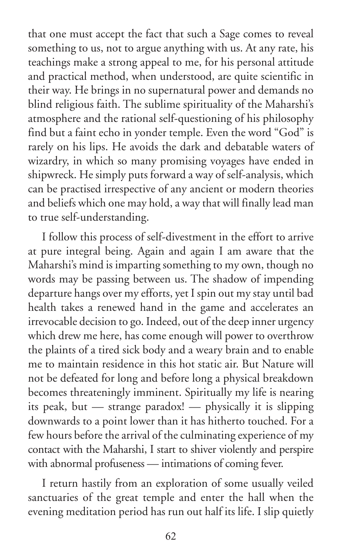that one must accept the fact that such a Sage comes to reveal something to us, not to argue anything with us. At any rate, his teachings make a strong appeal to me, for his personal attitude and practical method, when understood, are quite scientific in their way. He brings in no supernatural power and demands no blind religious faith. The sublime spirituality of the Maharshi's atmosphere and the rational self-questioning of his philosophy find but a faint echo in yonder temple. Even the word "God" is rarely on his lips. He avoids the dark and debatable waters of wizardry, in which so many promising voyages have ended in shipwreck. He simply puts forward a way of self-analysis, which can be practised irrespective of any ancient or modern theories and beliefs which one may hold, a way that will finally lead man to true self-understanding.

I follow this process of self-divestment in the effort to arrive at pure integral being. Again and again I am aware that the Maharshi's mind is imparting something to my own, though no words may be passing between us. The shadow of impending departure hangs over my efforts, yet I spin out my stay until bad health takes a renewed hand in the game and accelerates an irrevocable decision to go. Indeed, out of the deep inner urgency which drew me here, has come enough will power to overthrow the plaints of a tired sick body and a weary brain and to enable me to maintain residence in this hot static air. But Nature will not be defeated for long and before long a physical breakdown becomes threateningly imminent. Spiritually my life is nearing its peak, but — strange paradox! — physically it is slipping downwards to a point lower than it has hitherto touched. For a few hours before the arrival of the culminating experience of my contact with the Maharshi, I start to shiver violently and perspire with abnormal profuseness — intimations of coming fever.

I return hastily from an exploration of some usually veiled sanctuaries of the great temple and enter the hall when the evening meditation period has run out half its life. I slip quietly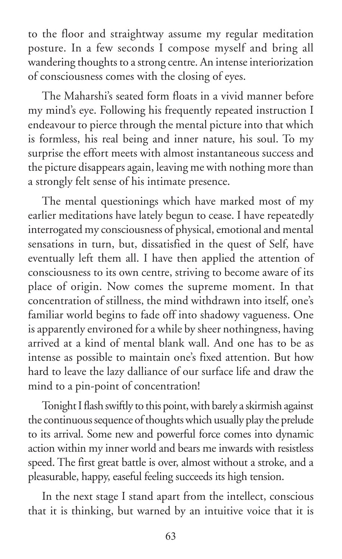to the floor and straightway assume my regular meditation posture. In a few seconds I compose myself and bring all wandering thoughts to a strong centre. An intense interiorization of consciousness comes with the closing of eyes.

The Maharshi's seated form floats in a vivid manner before my mind's eye. Following his frequently repeated instruction I endeavour to pierce through the mental picture into that which is formless, his real being and inner nature, his soul. To my surprise the effort meets with almost instantaneous success and the picture disappears again, leaving me with nothing more than a strongly felt sense of his intimate presence.

The mental questionings which have marked most of my earlier meditations have lately begun to cease. I have repeatedly interrogated my consciousness of physical, emotional and mental sensations in turn, but, dissatisfied in the quest of Self, have eventually left them all. I have then applied the attention of consciousness to its own centre, striving to become aware of its place of origin. Now comes the supreme moment. In that concentration of stillness, the mind withdrawn into itself, one's familiar world begins to fade off into shadowy vagueness. One is apparently environed for a while by sheer nothingness, having arrived at a kind of mental blank wall. And one has to be as intense as possible to maintain one's fixed attention. But how hard to leave the lazy dalliance of our surface life and draw the mind to a pin-point of concentration!

Tonight I flash swiftly to this point, with barely a skirmish against the continuous sequence of thoughts which usually play the prelude to its arrival. Some new and powerful force comes into dynamic action within my inner world and bears me inwards with resistless speed. The first great battle is over, almost without a stroke, and a pleasurable, happy, easeful feeling succeeds its high tension.

In the next stage I stand apart from the intellect, conscious that it is thinking, but warned by an intuitive voice that it is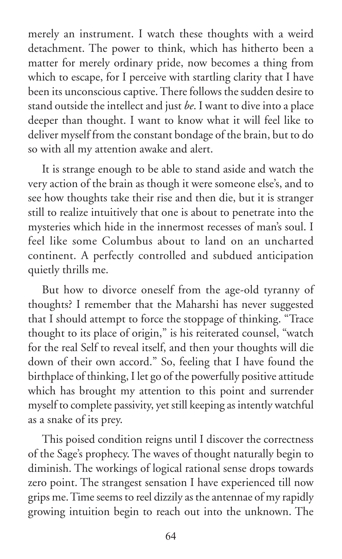merely an instrument. I watch these thoughts with a weird detachment. The power to think, which has hitherto been a matter for merely ordinary pride, now becomes a thing from which to escape, for I perceive with startling clarity that I have been its unconscious captive. There follows the sudden desire to stand outside the intellect and just *be*. I want to dive into a place deeper than thought. I want to know what it will feel like to deliver myself from the constant bondage of the brain, but to do so with all my attention awake and alert.

It is strange enough to be able to stand aside and watch the very action of the brain as though it were someone else's, and to see how thoughts take their rise and then die, but it is stranger still to realize intuitively that one is about to penetrate into the mysteries which hide in the innermost recesses of man's soul. I feel like some Columbus about to land on an uncharted continent. A perfectly controlled and subdued anticipation quietly thrills me.

But how to divorce oneself from the age-old tyranny of thoughts? I remember that the Maharshi has never suggested that I should attempt to force the stoppage of thinking. "Trace thought to its place of origin," is his reiterated counsel, "watch for the real Self to reveal itself, and then your thoughts will die down of their own accord." So, feeling that I have found the birthplace of thinking, I let go of the powerfully positive attitude which has brought my attention to this point and surrender myself to complete passivity, yet still keeping as intently watchful as a snake of its prey.

This poised condition reigns until I discover the correctness of the Sage's prophecy. The waves of thought naturally begin to diminish. The workings of logical rational sense drops towards zero point. The strangest sensation I have experienced till now grips me. Time seems to reel dizzily as the antennae of my rapidly growing intuition begin to reach out into the unknown. The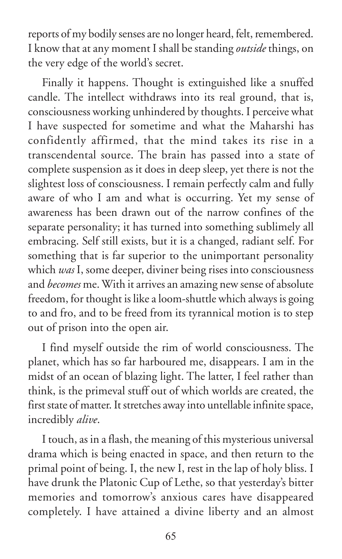reports of my bodily senses are no longer heard, felt, remembered. I know that at any moment I shall be standing *outside* things, on the very edge of the world's secret.

Finally it happens. Thought is extinguished like a snuffed candle. The intellect withdraws into its real ground, that is, consciousness working unhindered by thoughts. I perceive what I have suspected for sometime and what the Maharshi has confidently affirmed, that the mind takes its rise in a transcendental source. The brain has passed into a state of complete suspension as it does in deep sleep, yet there is not the slightest loss of consciousness. I remain perfectly calm and fully aware of who I am and what is occurring. Yet my sense of awareness has been drawn out of the narrow confines of the separate personality; it has turned into something sublimely all embracing. Self still exists, but it is a changed, radiant self. For something that is far superior to the unimportant personality which *was* I, some deeper, diviner being rises into consciousness and *becomes* me. With it arrives an amazing new sense of absolute freedom, for thought is like a loom-shuttle which always is going to and fro, and to be freed from its tyrannical motion is to step out of prison into the open air.

I find myself outside the rim of world consciousness. The planet, which has so far harboured me, disappears. I am in the midst of an ocean of blazing light. The latter, I feel rather than think, is the primeval stuff out of which worlds are created, the first state of matter. It stretches away into untellable infinite space, incredibly *alive*.

I touch, as in a flash, the meaning of this mysterious universal drama which is being enacted in space, and then return to the primal point of being. I, the new I, rest in the lap of holy bliss. I have drunk the Platonic Cup of Lethe, so that yesterday's bitter memories and tomorrow's anxious cares have disappeared completely. I have attained a divine liberty and an almost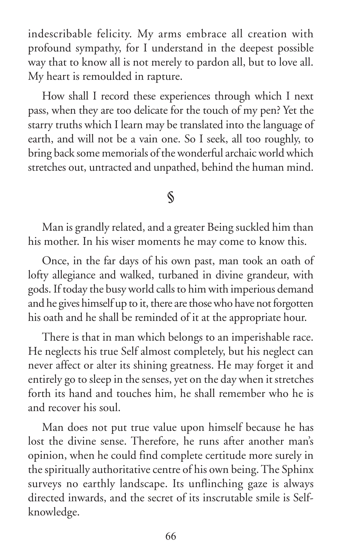indescribable felicity. My arms embrace all creation with profound sympathy, for I understand in the deepest possible way that to know all is not merely to pardon all, but to love all. My heart is remoulded in rapture.

How shall I record these experiences through which I next pass, when they are too delicate for the touch of my pen? Yet the starry truths which I learn may be translated into the language of earth, and will not be a vain one. So I seek, all too roughly, to bring back some memorials of the wonderful archaic world which stretches out, untracted and unpathed, behind the human mind.

## **§**

Man is grandly related, and a greater Being suckled him than his mother. In his wiser moments he may come to know this.

Once, in the far days of his own past, man took an oath of lofty allegiance and walked, turbaned in divine grandeur, with gods. If today the busy world calls to him with imperious demand and he gives himself up to it, there are those who have not forgotten his oath and he shall be reminded of it at the appropriate hour.

There is that in man which belongs to an imperishable race. He neglects his true Self almost completely, but his neglect can never affect or alter its shining greatness. He may forget it and entirely go to sleep in the senses, yet on the day when it stretches forth its hand and touches him, he shall remember who he is and recover his soul.

Man does not put true value upon himself because he has lost the divine sense. Therefore, he runs after another man's opinion, when he could find complete certitude more surely in the spiritually authoritative centre of his own being. The Sphinx surveys no earthly landscape. Its unflinching gaze is always directed inwards, and the secret of its inscrutable smile is Selfknowledge.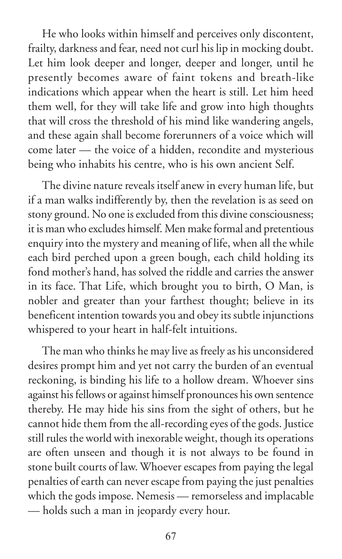He who looks within himself and perceives only discontent, frailty, darkness and fear, need not curl his lip in mocking doubt. Let him look deeper and longer, deeper and longer, until he presently becomes aware of faint tokens and breath-like indications which appear when the heart is still. Let him heed them well, for they will take life and grow into high thoughts that will cross the threshold of his mind like wandering angels, and these again shall become forerunners of a voice which will come later — the voice of a hidden, recondite and mysterious being who inhabits his centre, who is his own ancient Self.

The divine nature reveals itself anew in every human life, but if a man walks indifferently by, then the revelation is as seed on stony ground. No one is excluded from this divine consciousness; it is man who excludes himself. Men make formal and pretentious enquiry into the mystery and meaning of life, when all the while each bird perched upon a green bough, each child holding its fond mother's hand, has solved the riddle and carries the answer in its face. That Life, which brought you to birth, O Man, is nobler and greater than your farthest thought; believe in its beneficent intention towards you and obey its subtle injunctions whispered to your heart in half-felt intuitions.

The man who thinks he may live as freely as his unconsidered desires prompt him and yet not carry the burden of an eventual reckoning, is binding his life to a hollow dream. Whoever sins against his fellows or against himself pronounces his own sentence thereby. He may hide his sins from the sight of others, but he cannot hide them from the all-recording eyes of the gods. Justice still rules the world with inexorable weight, though its operations are often unseen and though it is not always to be found in stone built courts of law. Whoever escapes from paying the legal penalties of earth can never escape from paying the just penalties which the gods impose. Nemesis — remorseless and implacable — holds such a man in jeopardy every hour.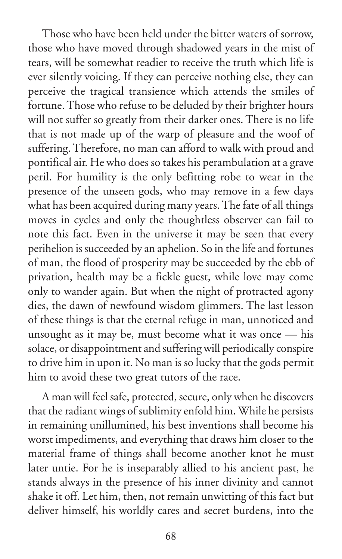Those who have been held under the bitter waters of sorrow, those who have moved through shadowed years in the mist of tears, will be somewhat readier to receive the truth which life is ever silently voicing. If they can perceive nothing else, they can perceive the tragical transience which attends the smiles of fortune. Those who refuse to be deluded by their brighter hours will not suffer so greatly from their darker ones. There is no life that is not made up of the warp of pleasure and the woof of suffering. Therefore, no man can afford to walk with proud and pontifical air. He who does so takes his perambulation at a grave peril. For humility is the only befitting robe to wear in the presence of the unseen gods, who may remove in a few days what has been acquired during many years. The fate of all things moves in cycles and only the thoughtless observer can fail to note this fact. Even in the universe it may be seen that every perihelion is succeeded by an aphelion. So in the life and fortunes of man, the flood of prosperity may be succeeded by the ebb of privation, health may be a fickle guest, while love may come only to wander again. But when the night of protracted agony dies, the dawn of newfound wisdom glimmers. The last lesson of these things is that the eternal refuge in man, unnoticed and unsought as it may be, must become what it was once — his solace, or disappointment and suffering will periodically conspire to drive him in upon it. No man is so lucky that the gods permit him to avoid these two great tutors of the race.

A man will feel safe, protected, secure, only when he discovers that the radiant wings of sublimity enfold him. While he persists in remaining unillumined, his best inventions shall become his worst impediments, and everything that draws him closer to the material frame of things shall become another knot he must later untie. For he is inseparably allied to his ancient past, he stands always in the presence of his inner divinity and cannot shake it off. Let him, then, not remain unwitting of this fact but deliver himself, his worldly cares and secret burdens, into the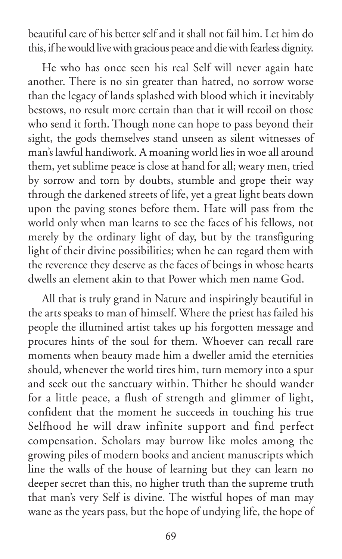beautiful care of his better self and it shall not fail him. Let him do this, if he would live with gracious peace and die with fearless dignity.

He who has once seen his real Self will never again hate another. There is no sin greater than hatred, no sorrow worse than the legacy of lands splashed with blood which it inevitably bestows, no result more certain than that it will recoil on those who send it forth. Though none can hope to pass beyond their sight, the gods themselves stand unseen as silent witnesses of man's lawful handiwork. A moaning world lies in woe all around them, yet sublime peace is close at hand for all; weary men, tried by sorrow and torn by doubts, stumble and grope their way through the darkened streets of life, yet a great light beats down upon the paving stones before them. Hate will pass from the world only when man learns to see the faces of his fellows, not merely by the ordinary light of day, but by the transfiguring light of their divine possibilities; when he can regard them with the reverence they deserve as the faces of beings in whose hearts dwells an element akin to that Power which men name God.

All that is truly grand in Nature and inspiringly beautiful in the arts speaks to man of himself. Where the priest has failed his people the illumined artist takes up his forgotten message and procures hints of the soul for them. Whoever can recall rare moments when beauty made him a dweller amid the eternities should, whenever the world tires him, turn memory into a spur and seek out the sanctuary within. Thither he should wander for a little peace, a flush of strength and glimmer of light, confident that the moment he succeeds in touching his true Selfhood he will draw infinite support and find perfect compensation. Scholars may burrow like moles among the growing piles of modern books and ancient manuscripts which line the walls of the house of learning but they can learn no deeper secret than this, no higher truth than the supreme truth that man's very Self is divine. The wistful hopes of man may wane as the years pass, but the hope of undying life, the hope of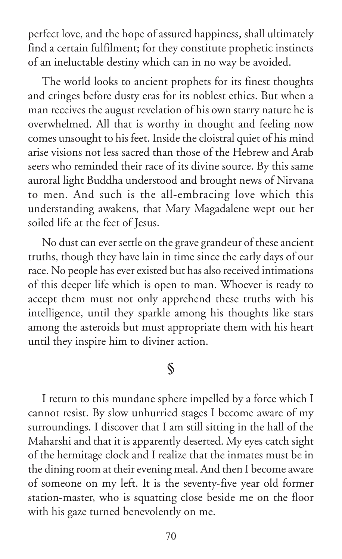perfect love, and the hope of assured happiness, shall ultimately find a certain fulfilment; for they constitute prophetic instincts of an ineluctable destiny which can in no way be avoided.

The world looks to ancient prophets for its finest thoughts and cringes before dusty eras for its noblest ethics. But when a man receives the august revelation of his own starry nature he is overwhelmed. All that is worthy in thought and feeling now comes unsought to his feet. Inside the cloistral quiet of his mind arise visions not less sacred than those of the Hebrew and Arab seers who reminded their race of its divine source. By this same auroral light Buddha understood and brought news of Nirvana to men. And such is the all-embracing love which this understanding awakens, that Mary Magadalene wept out her soiled life at the feet of Jesus.

No dust can ever settle on the grave grandeur of these ancient truths, though they have lain in time since the early days of our race. No people has ever existed but has also received intimations of this deeper life which is open to man. Whoever is ready to accept them must not only apprehend these truths with his intelligence, until they sparkle among his thoughts like stars among the asteroids but must appropriate them with his heart until they inspire him to diviner action.

## **§**

I return to this mundane sphere impelled by a force which I cannot resist. By slow unhurried stages I become aware of my surroundings. I discover that I am still sitting in the hall of the Maharshi and that it is apparently deserted. My eyes catch sight of the hermitage clock and I realize that the inmates must be in the dining room at their evening meal. And then I become aware of someone on my left. It is the seventy-five year old former station-master, who is squatting close beside me on the floor with his gaze turned benevolently on me.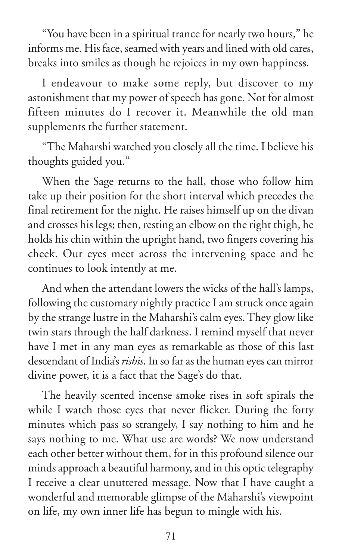"You have been in a spiritual trance for nearly two hours," he informs me. His face, seamed with years and lined with old cares, breaks into smiles as though he rejoices in my own happiness.

I endeavour to make some reply, but discover to my astonishment that my power of speech has gone. Not for almost fifteen minutes do I recover it. Meanwhile the old man supplements the further statement.

"The Maharshi watched you closely all the time. I believe his thoughts guided you."

When the Sage returns to the hall, those who follow him take up their position for the short interval which precedes the final retirement for the night. He raises himself up on the divan and crosses his legs; then, resting an elbow on the right thigh, he holds his chin within the upright hand, two fingers covering his cheek. Our eyes meet across the intervening space and he continues to look intently at me.

And when the attendant lowers the wicks of the hall's lamps, following the customary nightly practice I am struck once again by the strange lustre in the Maharshi's calm eyes. They glow like twin stars through the half darkness. I remind myself that never have I met in any man eyes as remarkable as those of this last descendant of India's *rishis*. In so far as the human eyes can mirror divine power, it is a fact that the Sage's do that.

The heavily scented incense smoke rises in soft spirals the while I watch those eyes that never flicker. During the forty minutes which pass so strangely, I say nothing to him and he says nothing to me. What use are words? We now understand each other better without them, for in this profound silence our minds approach a beautiful harmony, and in this optic telegraphy I receive a clear unuttered message. Now that I have caught a wonderful and memorable glimpse of the Maharshi's viewpoint on life, my own inner life has begun to mingle with his.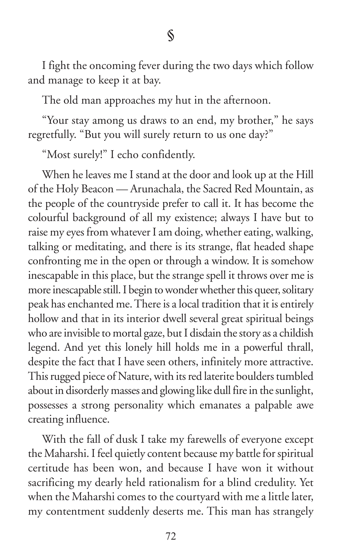I fight the oncoming fever during the two days which follow and manage to keep it at bay.

The old man approaches my hut in the afternoon.

"Your stay among us draws to an end, my brother," he says regretfully. "But you will surely return to us one day?"

"Most surely!" I echo confidently.

When he leaves me I stand at the door and look up at the Hill of the Holy Beacon — Arunachala, the Sacred Red Mountain, as the people of the countryside prefer to call it. It has become the colourful background of all my existence; always I have but to raise my eyes from whatever I am doing, whether eating, walking, talking or meditating, and there is its strange, flat headed shape confronting me in the open or through a window. It is somehow inescapable in this place, but the strange spell it throws over me is more inescapable still. I begin to wonder whether this queer, solitary peak has enchanted me. There is a local tradition that it is entirely hollow and that in its interior dwell several great spiritual beings who are invisible to mortal gaze, but I disdain the story as a childish legend. And yet this lonely hill holds me in a powerful thrall, despite the fact that I have seen others, infinitely more attractive. This rugged piece of Nature, with its red laterite boulders tumbled about in disorderly masses and glowing like dull fire in the sunlight, possesses a strong personality which emanates a palpable awe creating influence.

With the fall of dusk I take my farewells of everyone except the Maharshi. I feel quietly content because my battle for spiritual certitude has been won, and because I have won it without sacrificing my dearly held rationalism for a blind credulity. Yet when the Maharshi comes to the courtyard with me a little later, my contentment suddenly deserts me. This man has strangely